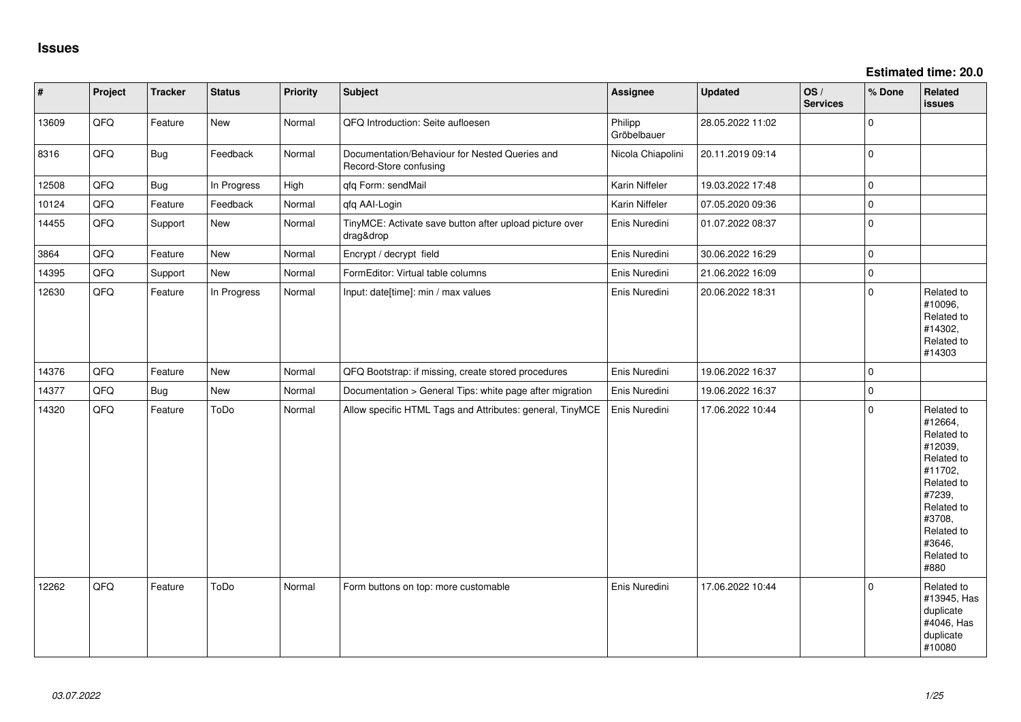| $\vert$ # | Project | <b>Tracker</b> | <b>Status</b> | <b>Priority</b> | Subject                                                                  | Assignee               | <b>Updated</b>   | OS/<br><b>Services</b> | % Done      | Related<br><b>issues</b>                                                                                                                                              |
|-----------|---------|----------------|---------------|-----------------|--------------------------------------------------------------------------|------------------------|------------------|------------------------|-------------|-----------------------------------------------------------------------------------------------------------------------------------------------------------------------|
| 13609     | QFQ     | Feature        | New           | Normal          | QFQ Introduction: Seite aufloesen                                        | Philipp<br>Gröbelbauer | 28.05.2022 11:02 |                        | $\mathbf 0$ |                                                                                                                                                                       |
| 8316      | QFQ     | Bug            | Feedback      | Normal          | Documentation/Behaviour for Nested Queries and<br>Record-Store confusing | Nicola Chiapolini      | 20.11.2019 09:14 |                        | $\mathbf 0$ |                                                                                                                                                                       |
| 12508     | QFQ     | Bug            | In Progress   | High            | qfq Form: sendMail                                                       | Karin Niffeler         | 19.03.2022 17:48 |                        | $\mathbf 0$ |                                                                                                                                                                       |
| 10124     | QFQ     | Feature        | Feedback      | Normal          | qfq AAI-Login                                                            | Karin Niffeler         | 07.05.2020 09:36 |                        | $\mathbf 0$ |                                                                                                                                                                       |
| 14455     | QFQ     | Support        | New           | Normal          | TinyMCE: Activate save button after upload picture over<br>drag&drop     | Enis Nuredini          | 01.07.2022 08:37 |                        | $\mathbf 0$ |                                                                                                                                                                       |
| 3864      | QFQ     | Feature        | <b>New</b>    | Normal          | Encrypt / decrypt field                                                  | Enis Nuredini          | 30.06.2022 16:29 |                        | $\mathbf 0$ |                                                                                                                                                                       |
| 14395     | QFQ     | Support        | New           | Normal          | FormEditor: Virtual table columns                                        | Enis Nuredini          | 21.06.2022 16:09 |                        | $\mathbf 0$ |                                                                                                                                                                       |
| 12630     | QFQ     | Feature        | In Progress   | Normal          | Input: date[time]: min / max values                                      | Enis Nuredini          | 20.06.2022 18:31 |                        | $\Omega$    | Related to<br>#10096,<br>Related to<br>#14302,<br>Related to<br>#14303                                                                                                |
| 14376     | QFQ     | Feature        | New           | Normal          | QFQ Bootstrap: if missing, create stored procedures                      | Enis Nuredini          | 19.06.2022 16:37 |                        | $\mathbf 0$ |                                                                                                                                                                       |
| 14377     | QFQ     | <b>Bug</b>     | New           | Normal          | Documentation > General Tips: white page after migration                 | Enis Nuredini          | 19.06.2022 16:37 |                        | $\mathbf 0$ |                                                                                                                                                                       |
| 14320     | QFQ     | Feature        | ToDo          | Normal          | Allow specific HTML Tags and Attributes: general, TinyMCE                | Enis Nuredini          | 17.06.2022 10:44 |                        | $\mathbf 0$ | Related to<br>#12664,<br>Related to<br>#12039,<br>Related to<br>#11702,<br>Related to<br>#7239,<br>Related to<br>#3708,<br>Related to<br>#3646,<br>Related to<br>#880 |
| 12262     | QFQ     | Feature        | ToDo          | Normal          | Form buttons on top: more customable                                     | Enis Nuredini          | 17.06.2022 10:44 |                        | $\Omega$    | Related to<br>#13945, Has<br>duplicate<br>#4046, Has<br>duplicate<br>#10080                                                                                           |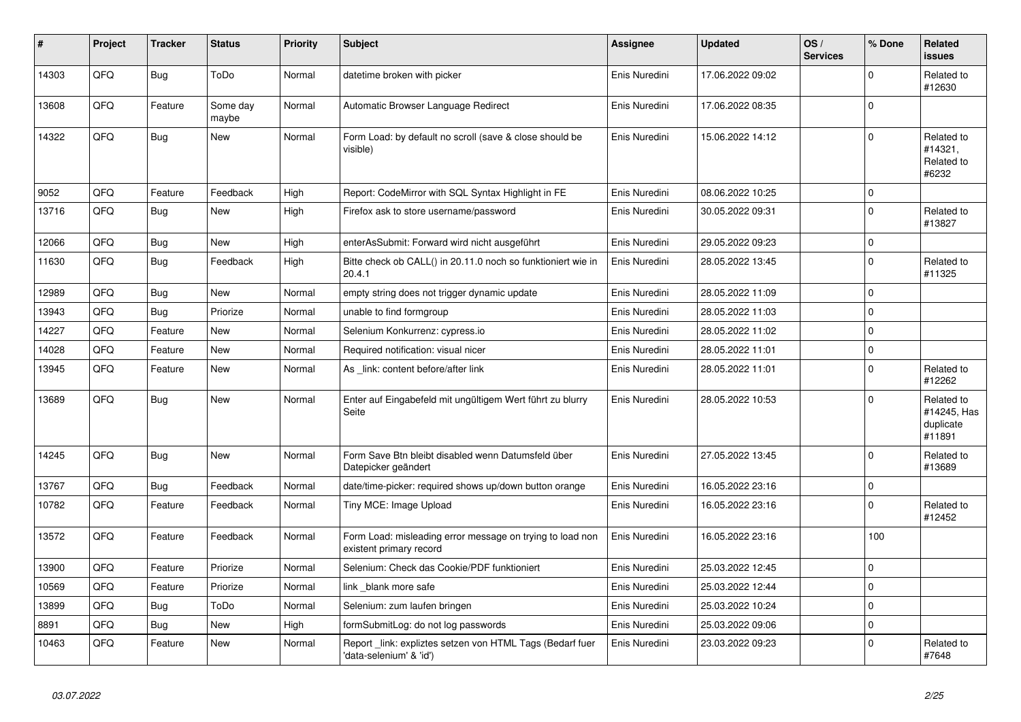| #     | Project | <b>Tracker</b> | <b>Status</b>     | <b>Priority</b> | <b>Subject</b>                                                                       | <b>Assignee</b> | <b>Updated</b>   | OS/<br><b>Services</b> | % Done         | <b>Related</b><br><b>issues</b>                  |
|-------|---------|----------------|-------------------|-----------------|--------------------------------------------------------------------------------------|-----------------|------------------|------------------------|----------------|--------------------------------------------------|
| 14303 | QFQ     | <b>Bug</b>     | ToDo              | Normal          | datetime broken with picker                                                          | Enis Nuredini   | 17.06.2022 09:02 |                        | 0              | Related to<br>#12630                             |
| 13608 | QFQ     | Feature        | Some day<br>maybe | Normal          | Automatic Browser Language Redirect                                                  | Enis Nuredini   | 17.06.2022 08:35 |                        | 0              |                                                  |
| 14322 | QFQ     | <b>Bug</b>     | New               | Normal          | Form Load: by default no scroll (save & close should be<br>visible)                  | Enis Nuredini   | 15.06.2022 14:12 |                        | 0              | Related to<br>#14321,<br>Related to<br>#6232     |
| 9052  | QFQ     | Feature        | Feedback          | High            | Report: CodeMirror with SQL Syntax Highlight in FE                                   | Enis Nuredini   | 08.06.2022 10:25 |                        | 0              |                                                  |
| 13716 | QFQ     | <b>Bug</b>     | New               | High            | Firefox ask to store username/password                                               | Enis Nuredini   | 30.05.2022 09:31 |                        | $\Omega$       | Related to<br>#13827                             |
| 12066 | QFQ     | <b>Bug</b>     | <b>New</b>        | High            | enterAsSubmit: Forward wird nicht ausgeführt                                         | Enis Nuredini   | 29.05.2022 09:23 |                        | $\mathsf 0$    |                                                  |
| 11630 | QFQ     | <b>Bug</b>     | Feedback          | High            | Bitte check ob CALL() in 20.11.0 noch so funktioniert wie in<br>20.4.1               | Enis Nuredini   | 28.05.2022 13:45 |                        | $\Omega$       | Related to<br>#11325                             |
| 12989 | QFQ     | <b>Bug</b>     | <b>New</b>        | Normal          | empty string does not trigger dynamic update                                         | Enis Nuredini   | 28.05.2022 11:09 |                        | 0              |                                                  |
| 13943 | QFQ     | <b>Bug</b>     | Priorize          | Normal          | unable to find formgroup                                                             | Enis Nuredini   | 28.05.2022 11:03 |                        | $\mathbf 0$    |                                                  |
| 14227 | QFQ     | Feature        | <b>New</b>        | Normal          | Selenium Konkurrenz: cypress.io                                                      | Enis Nuredini   | 28.05.2022 11:02 |                        | 0              |                                                  |
| 14028 | QFQ     | Feature        | New               | Normal          | Required notification: visual nicer                                                  | Enis Nuredini   | 28.05.2022 11:01 |                        | $\mathsf 0$    |                                                  |
| 13945 | QFQ     | Feature        | New               | Normal          | As link: content before/after link                                                   | Enis Nuredini   | 28.05.2022 11:01 |                        | 0              | Related to<br>#12262                             |
| 13689 | QFQ     | <b>Bug</b>     | <b>New</b>        | Normal          | Enter auf Eingabefeld mit ungültigem Wert führt zu blurry<br>Seite                   | Enis Nuredini   | 28.05.2022 10:53 |                        | $\Omega$       | Related to<br>#14245, Has<br>duplicate<br>#11891 |
| 14245 | QFQ     | Bug            | New               | Normal          | Form Save Btn bleibt disabled wenn Datumsfeld über<br>Datepicker geändert            | Enis Nuredini   | 27.05.2022 13:45 |                        | $\mathbf 0$    | Related to<br>#13689                             |
| 13767 | QFQ     | <b>Bug</b>     | Feedback          | Normal          | date/time-picker: required shows up/down button orange                               | Enis Nuredini   | 16.05.2022 23:16 |                        | 0              |                                                  |
| 10782 | QFQ     | Feature        | Feedback          | Normal          | Tiny MCE: Image Upload                                                               | Enis Nuredini   | 16.05.2022 23:16 |                        | $\Omega$       | Related to<br>#12452                             |
| 13572 | QFQ     | Feature        | Feedback          | Normal          | Form Load: misleading error message on trying to load non<br>existent primary record | Enis Nuredini   | 16.05.2022 23:16 |                        | 100            |                                                  |
| 13900 | QFQ     | Feature        | Priorize          | Normal          | Selenium: Check das Cookie/PDF funktioniert                                          | Enis Nuredini   | 25.03.2022 12:45 |                        | $\overline{0}$ |                                                  |
| 10569 | QFQ     | Feature        | Priorize          | Normal          | link blank more safe                                                                 | Enis Nuredini   | 25.03.2022 12:44 |                        | 0              |                                                  |
| 13899 | QFQ     | <b>Bug</b>     | ToDo              | Normal          | Selenium: zum laufen bringen                                                         | Enis Nuredini   | 25.03.2022 10:24 |                        | 0              |                                                  |
| 8891  | QFQ     | <b>Bug</b>     | <b>New</b>        | High            | formSubmitLog: do not log passwords                                                  | Enis Nuredini   | 25.03.2022 09:06 |                        | $\mathsf 0$    |                                                  |
| 10463 | QFQ     | Feature        | New               | Normal          | Report link: expliztes setzen von HTML Tags (Bedarf fuer<br>'data-selenium' & 'id')  | Enis Nuredini   | 23.03.2022 09:23 |                        | $\Omega$       | Related to<br>#7648                              |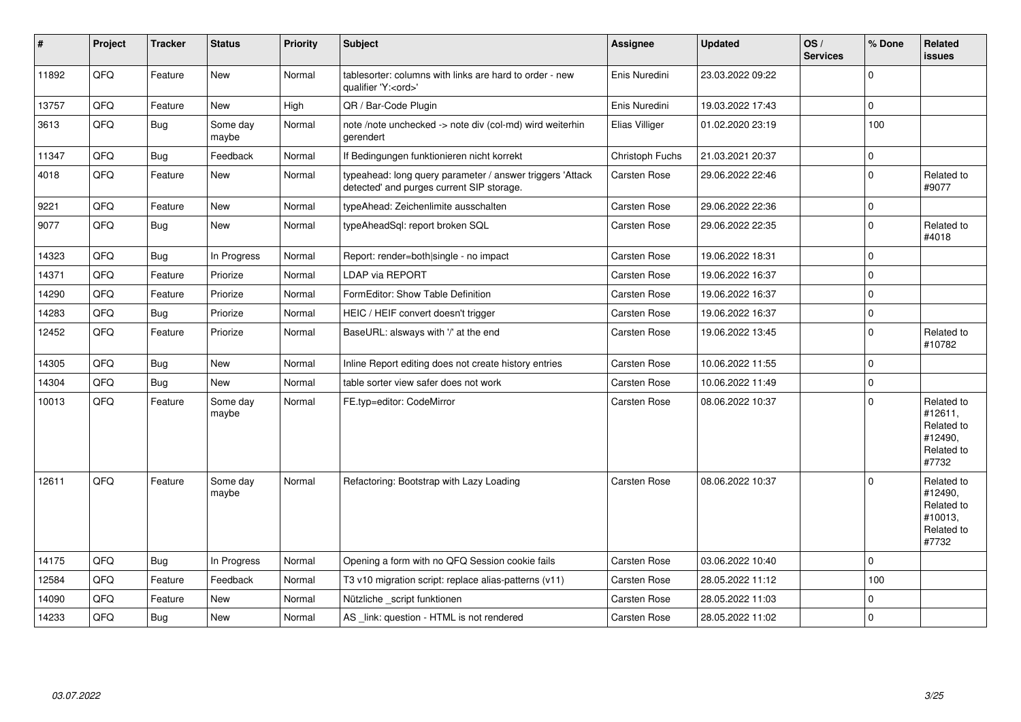| #     | Project | <b>Tracker</b> | <b>Status</b>     | <b>Priority</b> | <b>Subject</b>                                                                                         | <b>Assignee</b>     | <b>Updated</b>   | OS/<br><b>Services</b> | % Done         | <b>Related</b><br>issues                                              |
|-------|---------|----------------|-------------------|-----------------|--------------------------------------------------------------------------------------------------------|---------------------|------------------|------------------------|----------------|-----------------------------------------------------------------------|
| 11892 | QFQ     | Feature        | New               | Normal          | tablesorter: columns with links are hard to order - new<br>qualifier 'Y: <ord>'</ord>                  | Enis Nuredini       | 23.03.2022 09:22 |                        | $\Omega$       |                                                                       |
| 13757 | QFQ     | Feature        | <b>New</b>        | High            | QR / Bar-Code Plugin                                                                                   | Enis Nuredini       | 19.03.2022 17:43 |                        | 0              |                                                                       |
| 3613  | QFQ     | <b>Bug</b>     | Some day<br>maybe | Normal          | note /note unchecked -> note div (col-md) wird weiterhin<br>gerendert                                  | Elias Villiger      | 01.02.2020 23:19 |                        | 100            |                                                                       |
| 11347 | QFQ     | <b>Bug</b>     | Feedback          | Normal          | If Bedingungen funktionieren nicht korrekt                                                             | Christoph Fuchs     | 21.03.2021 20:37 |                        | 0              |                                                                       |
| 4018  | QFQ     | Feature        | New               | Normal          | typeahead: long query parameter / answer triggers 'Attack<br>detected' and purges current SIP storage. | Carsten Rose        | 29.06.2022 22:46 |                        | $\Omega$       | Related to<br>#9077                                                   |
| 9221  | QFQ     | Feature        | <b>New</b>        | Normal          | typeAhead: Zeichenlimite ausschalten                                                                   | Carsten Rose        | 29.06.2022 22:36 |                        | $\pmb{0}$      |                                                                       |
| 9077  | QFQ     | <b>Bug</b>     | <b>New</b>        | Normal          | typeAheadSql: report broken SQL                                                                        | Carsten Rose        | 29.06.2022 22:35 |                        | 0              | Related to<br>#4018                                                   |
| 14323 | QFQ     | <b>Bug</b>     | In Progress       | Normal          | Report: render=both single - no impact                                                                 | Carsten Rose        | 19.06.2022 18:31 |                        | 0              |                                                                       |
| 14371 | QFQ     | Feature        | Priorize          | Normal          | <b>LDAP via REPORT</b>                                                                                 | Carsten Rose        | 19.06.2022 16:37 |                        | 0              |                                                                       |
| 14290 | QFQ     | Feature        | Priorize          | Normal          | FormEditor: Show Table Definition                                                                      | Carsten Rose        | 19.06.2022 16:37 |                        | $\Omega$       |                                                                       |
| 14283 | QFQ     | <b>Bug</b>     | Priorize          | Normal          | HEIC / HEIF convert doesn't trigger                                                                    | Carsten Rose        | 19.06.2022 16:37 |                        | $\overline{0}$ |                                                                       |
| 12452 | QFQ     | Feature        | Priorize          | Normal          | BaseURL: alsways with '/' at the end                                                                   | Carsten Rose        | 19.06.2022 13:45 |                        | $\Omega$       | Related to<br>#10782                                                  |
| 14305 | QFQ     | <b>Bug</b>     | <b>New</b>        | Normal          | Inline Report editing does not create history entries                                                  | Carsten Rose        | 10.06.2022 11:55 |                        | 0              |                                                                       |
| 14304 | QFQ     | Bug            | New               | Normal          | table sorter view safer does not work                                                                  | Carsten Rose        | 10.06.2022 11:49 |                        | 0              |                                                                       |
| 10013 | QFQ     | Feature        | Some day<br>maybe | Normal          | FE.typ=editor: CodeMirror                                                                              | Carsten Rose        | 08.06.2022 10:37 |                        | $\Omega$       | Related to<br>#12611,<br>Related to<br>#12490,<br>Related to<br>#7732 |
| 12611 | QFQ     | Feature        | Some day<br>maybe | Normal          | Refactoring: Bootstrap with Lazy Loading                                                               | Carsten Rose        | 08.06.2022 10:37 |                        | $\Omega$       | Related to<br>#12490,<br>Related to<br>#10013,<br>Related to<br>#7732 |
| 14175 | QFQ     | <b>Bug</b>     | In Progress       | Normal          | Opening a form with no QFQ Session cookie fails                                                        | Carsten Rose        | 03.06.2022 10:40 |                        | 0              |                                                                       |
| 12584 | QFQ     | Feature        | Feedback          | Normal          | T3 v10 migration script: replace alias-patterns (v11)                                                  | Carsten Rose        | 28.05.2022 11:12 |                        | 100            |                                                                       |
| 14090 | QFQ     | Feature        | <b>New</b>        | Normal          | Nützliche script funktionen                                                                            | Carsten Rose        | 28.05.2022 11:03 |                        | 0              |                                                                       |
| 14233 | QFQ     | Bug            | <b>New</b>        | Normal          | AS link: question - HTML is not rendered                                                               | <b>Carsten Rose</b> | 28.05.2022 11:02 |                        | 0              |                                                                       |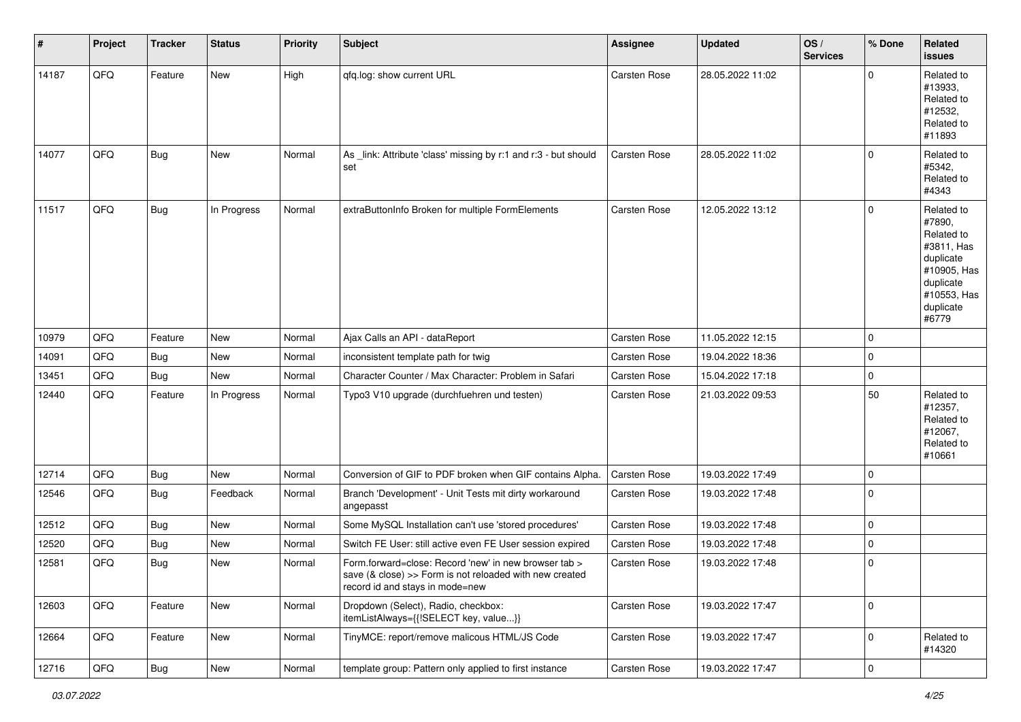| $\#$  | Project | <b>Tracker</b> | <b>Status</b> | <b>Priority</b> | <b>Subject</b>                                                                                                                                                | <b>Assignee</b>     | <b>Updated</b>   | OS/<br><b>Services</b> | % Done              | Related<br><b>issues</b>                                                                                                       |
|-------|---------|----------------|---------------|-----------------|---------------------------------------------------------------------------------------------------------------------------------------------------------------|---------------------|------------------|------------------------|---------------------|--------------------------------------------------------------------------------------------------------------------------------|
| 14187 | QFQ     | Feature        | New           | High            | qfq.log: show current URL                                                                                                                                     | Carsten Rose        | 28.05.2022 11:02 |                        | $\mathbf 0$         | Related to<br>#13933,<br>Related to<br>#12532,<br>Related to<br>#11893                                                         |
| 14077 | QFQ     | <b>Bug</b>     | New           | Normal          | As _link: Attribute 'class' missing by r:1 and r:3 - but should<br>set                                                                                        | <b>Carsten Rose</b> | 28.05.2022 11:02 |                        | $\mathbf 0$         | Related to<br>#5342,<br>Related to<br>#4343                                                                                    |
| 11517 | QFQ     | <b>Bug</b>     | In Progress   | Normal          | extraButtonInfo Broken for multiple FormElements                                                                                                              | <b>Carsten Rose</b> | 12.05.2022 13:12 |                        | $\mathbf 0$         | Related to<br>#7890,<br>Related to<br>#3811, Has<br>duplicate<br>#10905, Has<br>duplicate<br>#10553, Has<br>duplicate<br>#6779 |
| 10979 | QFQ     | Feature        | New           | Normal          | Ajax Calls an API - dataReport                                                                                                                                | <b>Carsten Rose</b> | 11.05.2022 12:15 |                        | 0                   |                                                                                                                                |
| 14091 | QFQ     | <b>Bug</b>     | New           | Normal          | inconsistent template path for twig                                                                                                                           | Carsten Rose        | 19.04.2022 18:36 |                        | $\mathbf 0$         |                                                                                                                                |
| 13451 | QFQ     | Bug            | New           | Normal          | Character Counter / Max Character: Problem in Safari                                                                                                          | <b>Carsten Rose</b> | 15.04.2022 17:18 |                        | $\Omega$            |                                                                                                                                |
| 12440 | QFQ     | Feature        | In Progress   | Normal          | Typo3 V10 upgrade (durchfuehren und testen)                                                                                                                   | Carsten Rose        | 21.03.2022 09:53 |                        | 50                  | Related to<br>#12357,<br>Related to<br>#12067,<br>Related to<br>#10661                                                         |
| 12714 | QFQ     | <b>Bug</b>     | New           | Normal          | Conversion of GIF to PDF broken when GIF contains Alpha.                                                                                                      | Carsten Rose        | 19.03.2022 17:49 |                        | $\mathbf 0$         |                                                                                                                                |
| 12546 | QFQ     | <b>Bug</b>     | Feedback      | Normal          | Branch 'Development' - Unit Tests mit dirty workaround<br>angepasst                                                                                           | <b>Carsten Rose</b> | 19.03.2022 17:48 |                        | $\mathbf 0$         |                                                                                                                                |
| 12512 | QFQ     | <b>Bug</b>     | New           | Normal          | Some MySQL Installation can't use 'stored procedures'                                                                                                         | <b>Carsten Rose</b> | 19.03.2022 17:48 |                        | $\Omega$            |                                                                                                                                |
| 12520 | QFQ     | <b>Bug</b>     | New           | Normal          | Switch FE User: still active even FE User session expired                                                                                                     | Carsten Rose        | 19.03.2022 17:48 |                        | 0                   |                                                                                                                                |
| 12581 | QFQ     | Bug            | New           | Normal          | Form.forward=close: Record 'new' in new browser tab ><br>save $(8 \text{ close}) >>$ Form is not reloaded with new created<br>record id and stays in mode=new | Carsten Rose        | 19.03.2022 17:48 |                        | $\mathbf 0$         |                                                                                                                                |
| 12603 | QFQ     | Feature        | New           | Normal          | Dropdown (Select), Radio, checkbox:<br>itemListAlways={{!SELECT key, value}}                                                                                  | Carsten Rose        | 19.03.2022 17:47 |                        | $\mathsf{O}\xspace$ |                                                                                                                                |
| 12664 | QFQ     | Feature        | New           | Normal          | TinyMCE: report/remove malicous HTML/JS Code                                                                                                                  | Carsten Rose        | 19.03.2022 17:47 |                        | $\mathbf 0$         | Related to<br>#14320                                                                                                           |
| 12716 | QFQ     | <b>Bug</b>     | New           | Normal          | template group: Pattern only applied to first instance                                                                                                        | Carsten Rose        | 19.03.2022 17:47 |                        | $\pmb{0}$           |                                                                                                                                |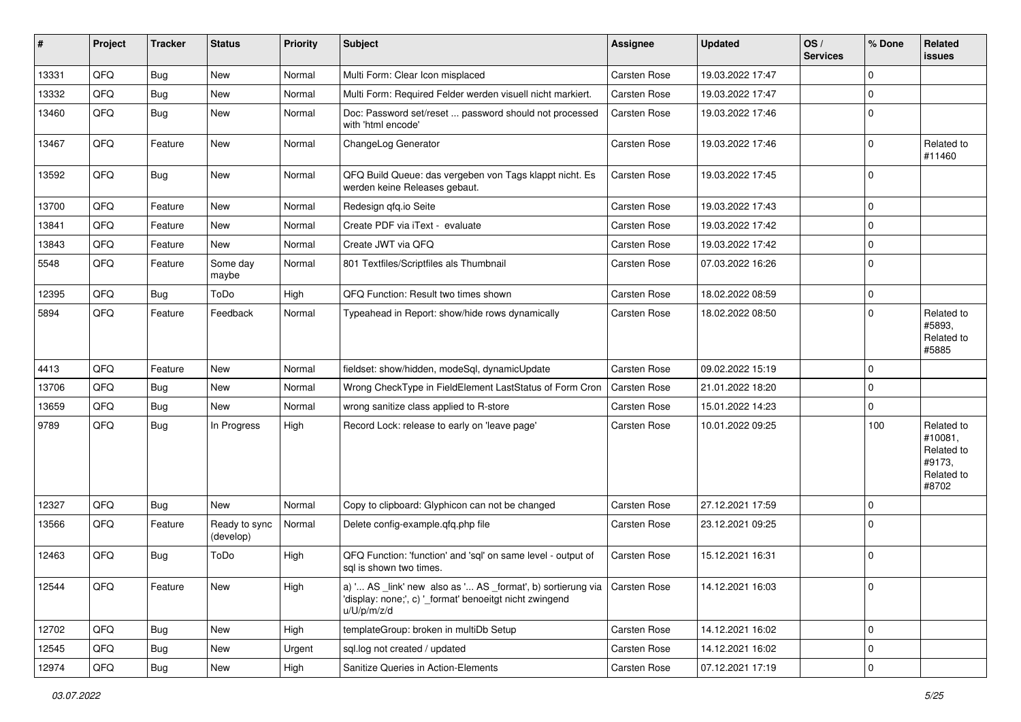| #     | Project | <b>Tracker</b> | <b>Status</b>              | <b>Priority</b> | <b>Subject</b>                                                                                                                                       | <b>Assignee</b> | <b>Updated</b>   | OS/<br><b>Services</b> | % Done      | Related<br><b>issues</b>                                             |
|-------|---------|----------------|----------------------------|-----------------|------------------------------------------------------------------------------------------------------------------------------------------------------|-----------------|------------------|------------------------|-------------|----------------------------------------------------------------------|
| 13331 | QFQ     | <b>Bug</b>     | <b>New</b>                 | Normal          | Multi Form: Clear Icon misplaced                                                                                                                     | Carsten Rose    | 19.03.2022 17:47 |                        | $\Omega$    |                                                                      |
| 13332 | QFQ     | <b>Bug</b>     | New                        | Normal          | Multi Form: Required Felder werden visuell nicht markiert.                                                                                           | Carsten Rose    | 19.03.2022 17:47 |                        | $\mathbf 0$ |                                                                      |
| 13460 | QFQ     | <b>Bug</b>     | New                        | Normal          | Doc: Password set/reset  password should not processed<br>with 'html encode'                                                                         | Carsten Rose    | 19.03.2022 17:46 |                        | $\Omega$    |                                                                      |
| 13467 | QFQ     | Feature        | New                        | Normal          | ChangeLog Generator                                                                                                                                  | Carsten Rose    | 19.03.2022 17:46 |                        | $\Omega$    | Related to<br>#11460                                                 |
| 13592 | QFQ     | <b>Bug</b>     | New                        | Normal          | QFQ Build Queue: das vergeben von Tags klappt nicht. Es<br>werden keine Releases gebaut.                                                             | Carsten Rose    | 19.03.2022 17:45 |                        | $\Omega$    |                                                                      |
| 13700 | QFQ     | Feature        | <b>New</b>                 | Normal          | Redesign qfq.io Seite                                                                                                                                | Carsten Rose    | 19.03.2022 17:43 |                        | $\mathbf 0$ |                                                                      |
| 13841 | QFQ     | Feature        | New                        | Normal          | Create PDF via iText - evaluate                                                                                                                      | Carsten Rose    | 19.03.2022 17:42 |                        | $\mathbf 0$ |                                                                      |
| 13843 | QFQ     | Feature        | New                        | Normal          | Create JWT via QFQ                                                                                                                                   | Carsten Rose    | 19.03.2022 17:42 |                        | $\Omega$    |                                                                      |
| 5548  | QFQ     | Feature        | Some day<br>maybe          | Normal          | 801 Textfiles/Scriptfiles als Thumbnail                                                                                                              | Carsten Rose    | 07.03.2022 16:26 |                        | $\Omega$    |                                                                      |
| 12395 | QFQ     | <b>Bug</b>     | ToDo                       | High            | QFQ Function: Result two times shown                                                                                                                 | Carsten Rose    | 18.02.2022 08:59 |                        | $\mathbf 0$ |                                                                      |
| 5894  | QFQ     | Feature        | Feedback                   | Normal          | Typeahead in Report: show/hide rows dynamically                                                                                                      | Carsten Rose    | 18.02.2022 08:50 |                        | $\Omega$    | Related to<br>#5893,<br>Related to<br>#5885                          |
| 4413  | QFQ     | Feature        | <b>New</b>                 | Normal          | fieldset: show/hidden, modeSql, dynamicUpdate                                                                                                        | Carsten Rose    | 09.02.2022 15:19 |                        | $\Omega$    |                                                                      |
| 13706 | QFQ     | <b>Bug</b>     | New                        | Normal          | Wrong CheckType in FieldElement LastStatus of Form Cron                                                                                              | Carsten Rose    | 21.01.2022 18:20 |                        | $\Omega$    |                                                                      |
| 13659 | QFQ     | <b>Bug</b>     | New                        | Normal          | wrong sanitize class applied to R-store                                                                                                              | Carsten Rose    | 15.01.2022 14:23 |                        | $\mathbf 0$ |                                                                      |
| 9789  | QFQ     | <b>Bug</b>     | In Progress                | High            | Record Lock: release to early on 'leave page'                                                                                                        | Carsten Rose    | 10.01.2022 09:25 |                        | 100         | Related to<br>#10081,<br>Related to<br>#9173,<br>Related to<br>#8702 |
| 12327 | QFQ     | <b>Bug</b>     | New                        | Normal          | Copy to clipboard: Glyphicon can not be changed                                                                                                      | Carsten Rose    | 27.12.2021 17:59 |                        | $\Omega$    |                                                                      |
| 13566 | QFQ     | Feature        | Ready to sync<br>(develop) | Normal          | Delete config-example.qfq.php file                                                                                                                   | Carsten Rose    | 23.12.2021 09:25 |                        | $\Omega$    |                                                                      |
| 12463 | QFQ     | <b>Bug</b>     | ToDo                       | High            | QFQ Function: 'function' and 'sql' on same level - output of<br>sql is shown two times.                                                              | Carsten Rose    | 15.12.2021 16:31 |                        | $\mathbf 0$ |                                                                      |
| 12544 | QFQ     | Feature        | New                        | High            | a) ' AS _link' new also as ' AS _format', b) sortierung via   Carsten Rose<br>'display: none;', c) ' format' benoeitgt nicht zwingend<br>u/U/p/m/z/d |                 | 14.12.2021 16:03 |                        | $\mathbf 0$ |                                                                      |
| 12702 | QFQ     | <b>Bug</b>     | New                        | High            | templateGroup: broken in multiDb Setup                                                                                                               | Carsten Rose    | 14.12.2021 16:02 |                        | $\mathbf 0$ |                                                                      |
| 12545 | QFQ     | Bug            | New                        | Urgent          | sql.log not created / updated                                                                                                                        | Carsten Rose    | 14.12.2021 16:02 |                        | 0           |                                                                      |
| 12974 | QFG     | Bug            | New                        | High            | Sanitize Queries in Action-Elements                                                                                                                  | Carsten Rose    | 07.12.2021 17:19 |                        | $\mathbf 0$ |                                                                      |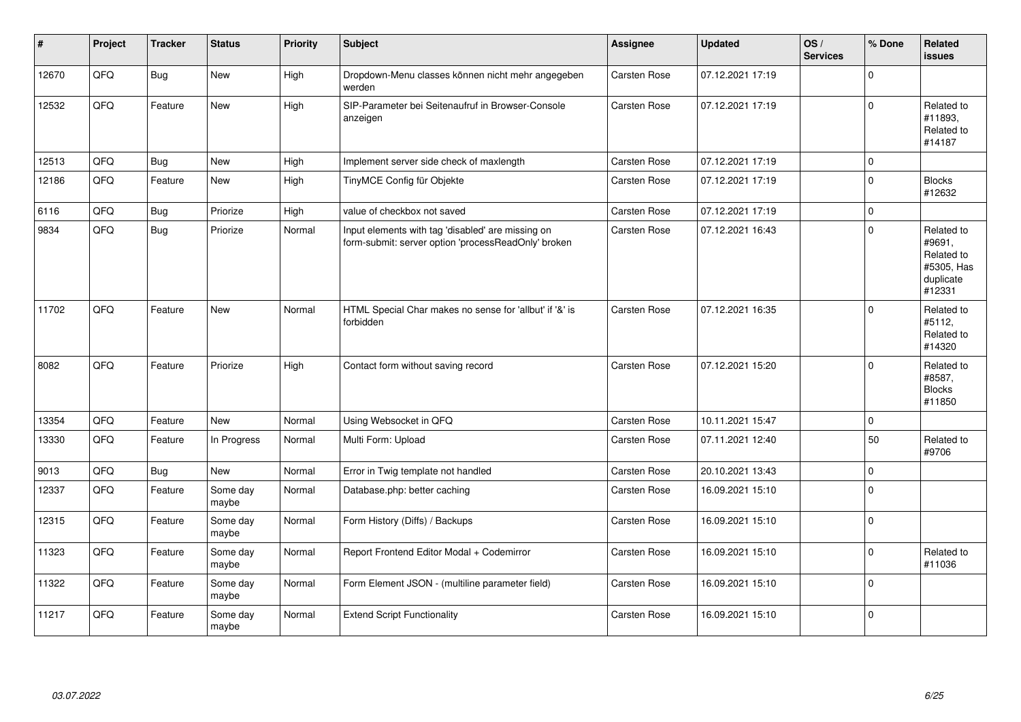| #     | Project | <b>Tracker</b> | <b>Status</b>     | <b>Priority</b> | <b>Subject</b>                                                                                           | Assignee            | <b>Updated</b>   | OS/<br><b>Services</b> | % Done         | Related<br><b>issues</b>                                                |
|-------|---------|----------------|-------------------|-----------------|----------------------------------------------------------------------------------------------------------|---------------------|------------------|------------------------|----------------|-------------------------------------------------------------------------|
| 12670 | QFQ     | Bug            | <b>New</b>        | High            | Dropdown-Menu classes können nicht mehr angegeben<br>werden                                              | Carsten Rose        | 07.12.2021 17:19 |                        | $\Omega$       |                                                                         |
| 12532 | QFQ     | Feature        | <b>New</b>        | High            | SIP-Parameter bei Seitenaufruf in Browser-Console<br>anzeigen                                            | Carsten Rose        | 07.12.2021 17:19 |                        | 0              | Related to<br>#11893,<br>Related to<br>#14187                           |
| 12513 | QFQ     | Bug            | <b>New</b>        | High            | Implement server side check of maxlength                                                                 | Carsten Rose        | 07.12.2021 17:19 |                        | $\mathbf 0$    |                                                                         |
| 12186 | QFQ     | Feature        | <b>New</b>        | High            | TinyMCE Config für Objekte                                                                               | Carsten Rose        | 07.12.2021 17:19 |                        | 0              | <b>Blocks</b><br>#12632                                                 |
| 6116  | QFQ     | <b>Bug</b>     | Priorize          | High            | value of checkbox not saved                                                                              | Carsten Rose        | 07.12.2021 17:19 |                        | 0              |                                                                         |
| 9834  | QFQ     | Bug            | Priorize          | Normal          | Input elements with tag 'disabled' are missing on<br>form-submit: server option 'processReadOnly' broken | Carsten Rose        | 07.12.2021 16:43 |                        | $\mathbf 0$    | Related to<br>#9691,<br>Related to<br>#5305, Has<br>duplicate<br>#12331 |
| 11702 | QFQ     | Feature        | <b>New</b>        | Normal          | HTML Special Char makes no sense for 'allbut' if '&' is<br>forbidden                                     | <b>Carsten Rose</b> | 07.12.2021 16:35 |                        | $\Omega$       | Related to<br>#5112,<br>Related to<br>#14320                            |
| 8082  | QFQ     | Feature        | Priorize          | High            | Contact form without saving record                                                                       | Carsten Rose        | 07.12.2021 15:20 |                        | $\overline{0}$ | Related to<br>#8587,<br><b>Blocks</b><br>#11850                         |
| 13354 | QFQ     | Feature        | <b>New</b>        | Normal          | Using Websocket in QFQ                                                                                   | Carsten Rose        | 10.11.2021 15:47 |                        | 0              |                                                                         |
| 13330 | QFQ     | Feature        | In Progress       | Normal          | Multi Form: Upload                                                                                       | Carsten Rose        | 07.11.2021 12:40 |                        | 50             | Related to<br>#9706                                                     |
| 9013  | QFQ     | Bug            | New               | Normal          | Error in Twig template not handled                                                                       | Carsten Rose        | 20.10.2021 13:43 |                        | 0              |                                                                         |
| 12337 | QFQ     | Feature        | Some day<br>maybe | Normal          | Database.php: better caching                                                                             | Carsten Rose        | 16.09.2021 15:10 |                        | 0              |                                                                         |
| 12315 | QFQ     | Feature        | Some day<br>maybe | Normal          | Form History (Diffs) / Backups                                                                           | Carsten Rose        | 16.09.2021 15:10 |                        | $\pmb{0}$      |                                                                         |
| 11323 | QFQ     | Feature        | Some day<br>maybe | Normal          | Report Frontend Editor Modal + Codemirror                                                                | Carsten Rose        | 16.09.2021 15:10 |                        | 0              | Related to<br>#11036                                                    |
| 11322 | QFQ     | Feature        | Some day<br>maybe | Normal          | Form Element JSON - (multiline parameter field)                                                          | Carsten Rose        | 16.09.2021 15:10 |                        | 0              |                                                                         |
| 11217 | QFQ     | Feature        | Some day<br>maybe | Normal          | <b>Extend Script Functionality</b>                                                                       | <b>Carsten Rose</b> | 16.09.2021 15:10 |                        | 0              |                                                                         |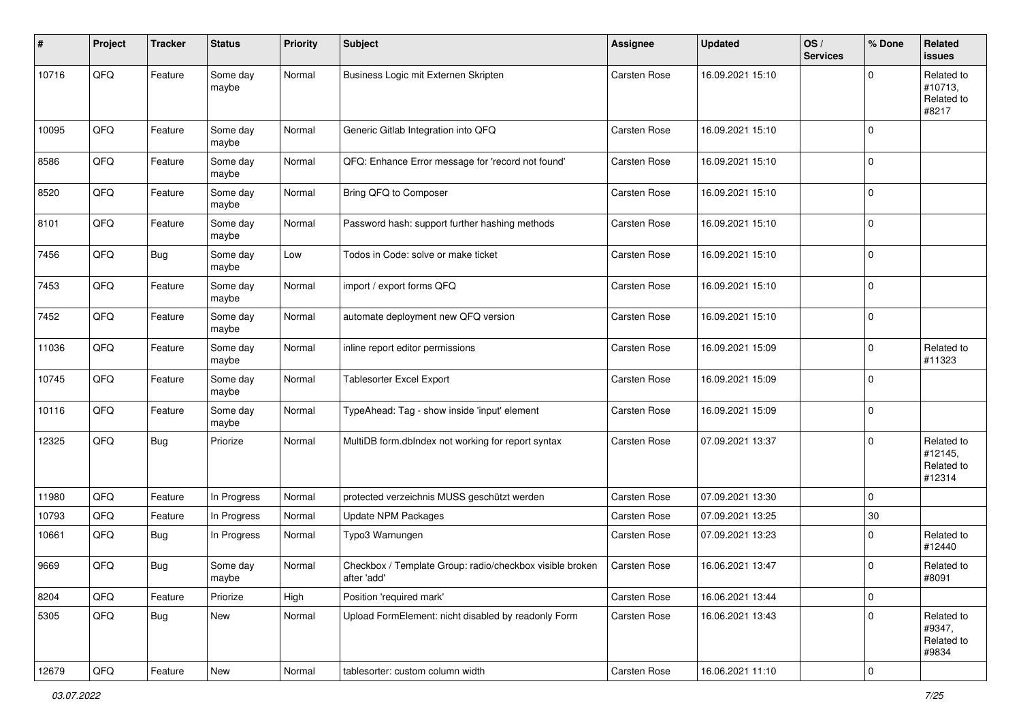| #     | Project        | <b>Tracker</b> | <b>Status</b>     | <b>Priority</b> | Subject                                                                 | <b>Assignee</b>     | <b>Updated</b>   | OS/<br><b>Services</b> | % Done         | Related<br>issues                             |
|-------|----------------|----------------|-------------------|-----------------|-------------------------------------------------------------------------|---------------------|------------------|------------------------|----------------|-----------------------------------------------|
| 10716 | QFQ            | Feature        | Some day<br>maybe | Normal          | Business Logic mit Externen Skripten                                    | <b>Carsten Rose</b> | 16.09.2021 15:10 |                        | 0              | Related to<br>#10713,<br>Related to<br>#8217  |
| 10095 | QFQ            | Feature        | Some day<br>maybe | Normal          | Generic Gitlab Integration into QFQ                                     | <b>Carsten Rose</b> | 16.09.2021 15:10 |                        | $\mathbf 0$    |                                               |
| 8586  | QFQ            | Feature        | Some day<br>maybe | Normal          | QFQ: Enhance Error message for 'record not found'                       | <b>Carsten Rose</b> | 16.09.2021 15:10 |                        | $\mathbf 0$    |                                               |
| 8520  | QFQ            | Feature        | Some day<br>maybe | Normal          | Bring QFQ to Composer                                                   | <b>Carsten Rose</b> | 16.09.2021 15:10 |                        | $\mathbf 0$    |                                               |
| 8101  | QFQ            | Feature        | Some day<br>maybe | Normal          | Password hash: support further hashing methods                          | Carsten Rose        | 16.09.2021 15:10 |                        | 0              |                                               |
| 7456  | QFQ            | <b>Bug</b>     | Some day<br>maybe | Low             | Todos in Code: solve or make ticket                                     | Carsten Rose        | 16.09.2021 15:10 |                        | $\mathbf 0$    |                                               |
| 7453  | QFQ            | Feature        | Some day<br>maybe | Normal          | import / export forms QFQ                                               | Carsten Rose        | 16.09.2021 15:10 |                        | $\mathbf 0$    |                                               |
| 7452  | QFQ            | Feature        | Some day<br>maybe | Normal          | automate deployment new QFQ version                                     | Carsten Rose        | 16.09.2021 15:10 |                        | $\pmb{0}$      |                                               |
| 11036 | QFQ            | Feature        | Some day<br>maybe | Normal          | inline report editor permissions                                        | <b>Carsten Rose</b> | 16.09.2021 15:09 |                        | 0              | Related to<br>#11323                          |
| 10745 | QFQ            | Feature        | Some day<br>maybe | Normal          | Tablesorter Excel Export                                                | <b>Carsten Rose</b> | 16.09.2021 15:09 |                        | $\mathbf 0$    |                                               |
| 10116 | QFQ            | Feature        | Some day<br>maybe | Normal          | TypeAhead: Tag - show inside 'input' element                            | Carsten Rose        | 16.09.2021 15:09 |                        | $\mathbf 0$    |                                               |
| 12325 | QFQ            | <b>Bug</b>     | Priorize          | Normal          | MultiDB form.dblndex not working for report syntax                      | Carsten Rose        | 07.09.2021 13:37 |                        | 0              | Related to<br>#12145,<br>Related to<br>#12314 |
| 11980 | QFQ            | Feature        | In Progress       | Normal          | protected verzeichnis MUSS geschützt werden                             | <b>Carsten Rose</b> | 07.09.2021 13:30 |                        | $\mathbf 0$    |                                               |
| 10793 | QFQ            | Feature        | In Progress       | Normal          | <b>Update NPM Packages</b>                                              | <b>Carsten Rose</b> | 07.09.2021 13:25 |                        | $30\,$         |                                               |
| 10661 | QFQ            | <b>Bug</b>     | In Progress       | Normal          | Typo3 Warnungen                                                         | <b>Carsten Rose</b> | 07.09.2021 13:23 |                        | $\pmb{0}$      | Related to<br>#12440                          |
| 9669  | QFQ            | <b>Bug</b>     | Some day<br>maybe | Normal          | Checkbox / Template Group: radio/checkbox visible broken<br>after 'add' | Carsten Rose        | 16.06.2021 13:47 |                        | $\mathbf 0$    | Related to<br>#8091                           |
| 8204  | QFQ            | Feature        | Priorize          | High            | Position 'required mark'                                                | Carsten Rose        | 16.06.2021 13:44 |                        | $\pmb{0}$      |                                               |
| 5305  | QFQ            | <b>Bug</b>     | New               | Normal          | Upload FormElement: nicht disabled by readonly Form                     | Carsten Rose        | 16.06.2021 13:43 |                        | $\pmb{0}$      | Related to<br>#9347,<br>Related to<br>#9834   |
| 12679 | $\mathsf{QFQ}$ | Feature        | New               | Normal          | tablesorter: custom column width                                        | Carsten Rose        | 16.06.2021 11:10 |                        | $\overline{0}$ |                                               |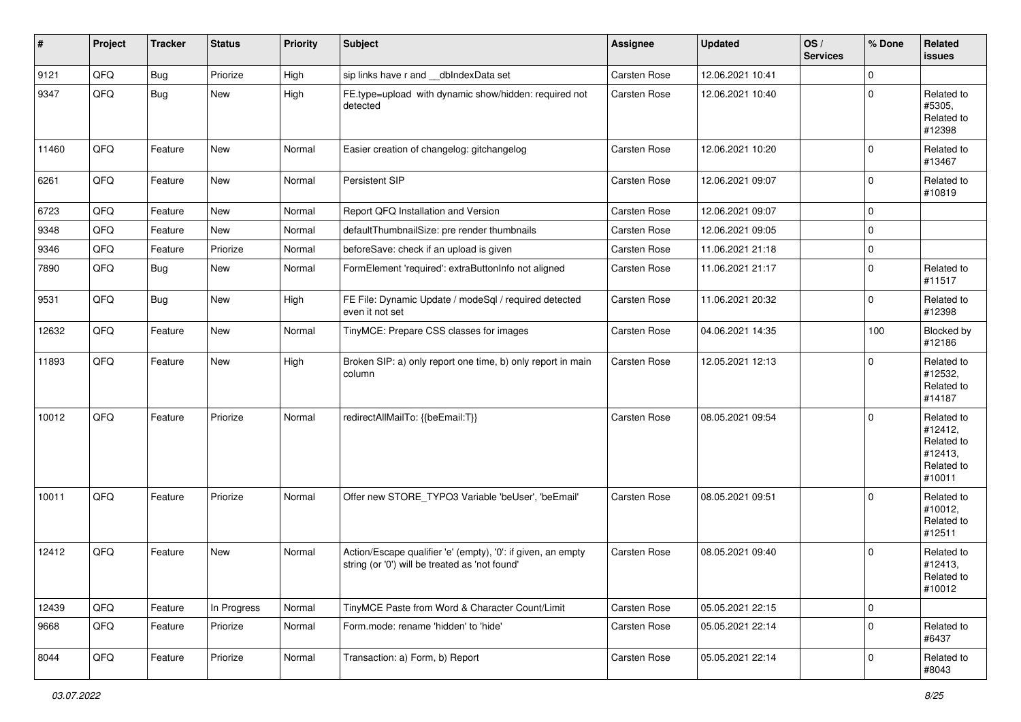| #     | Project | <b>Tracker</b> | <b>Status</b> | <b>Priority</b> | <b>Subject</b>                                                                                                 | <b>Assignee</b>     | <b>Updated</b>   | OS/<br><b>Services</b> | % Done         | <b>Related</b><br>issues                                               |
|-------|---------|----------------|---------------|-----------------|----------------------------------------------------------------------------------------------------------------|---------------------|------------------|------------------------|----------------|------------------------------------------------------------------------|
| 9121  | QFQ     | <b>Bug</b>     | Priorize      | High            | sip links have r and __dbIndexData set                                                                         | <b>Carsten Rose</b> | 12.06.2021 10:41 |                        | $\mathbf 0$    |                                                                        |
| 9347  | QFQ     | <b>Bug</b>     | New           | High            | FE.type=upload with dynamic show/hidden: required not<br>detected                                              | <b>Carsten Rose</b> | 12.06.2021 10:40 |                        | $\mathbf 0$    | Related to<br>#5305,<br>Related to<br>#12398                           |
| 11460 | QFQ     | Feature        | New           | Normal          | Easier creation of changelog: gitchangelog                                                                     | <b>Carsten Rose</b> | 12.06.2021 10:20 |                        | $\mathbf 0$    | Related to<br>#13467                                                   |
| 6261  | QFQ     | Feature        | New           | Normal          | Persistent SIP                                                                                                 | Carsten Rose        | 12.06.2021 09:07 |                        | $\mathbf 0$    | Related to<br>#10819                                                   |
| 6723  | QFQ     | Feature        | New           | Normal          | Report QFQ Installation and Version                                                                            | Carsten Rose        | 12.06.2021 09:07 |                        | 0              |                                                                        |
| 9348  | QFQ     | Feature        | New           | Normal          | defaultThumbnailSize: pre render thumbnails                                                                    | Carsten Rose        | 12.06.2021 09:05 |                        | $\mathbf 0$    |                                                                        |
| 9346  | QFQ     | Feature        | Priorize      | Normal          | beforeSave: check if an upload is given                                                                        | Carsten Rose        | 11.06.2021 21:18 |                        | $\mathbf 0$    |                                                                        |
| 7890  | QFQ     | <b>Bug</b>     | New           | Normal          | FormElement 'required': extraButtonInfo not aligned                                                            | Carsten Rose        | 11.06.2021 21:17 |                        | $\pmb{0}$      | Related to<br>#11517                                                   |
| 9531  | QFQ     | Bug            | New           | High            | FE File: Dynamic Update / modeSql / required detected<br>even it not set                                       | Carsten Rose        | 11.06.2021 20:32 |                        | $\mathbf 0$    | Related to<br>#12398                                                   |
| 12632 | QFQ     | Feature        | New           | Normal          | TinyMCE: Prepare CSS classes for images                                                                        | <b>Carsten Rose</b> | 04.06.2021 14:35 |                        | 100            | Blocked by<br>#12186                                                   |
| 11893 | QFQ     | Feature        | New           | High            | Broken SIP: a) only report one time, b) only report in main<br>column                                          | Carsten Rose        | 12.05.2021 12:13 |                        | $\mathbf 0$    | Related to<br>#12532,<br>Related to<br>#14187                          |
| 10012 | QFQ     | Feature        | Priorize      | Normal          | redirectAllMailTo: {{beEmail:T}}                                                                               | Carsten Rose        | 08.05.2021 09:54 |                        | $\mathbf 0$    | Related to<br>#12412,<br>Related to<br>#12413,<br>Related to<br>#10011 |
| 10011 | QFQ     | Feature        | Priorize      | Normal          | Offer new STORE_TYPO3 Variable 'beUser', 'beEmail'                                                             | Carsten Rose        | 08.05.2021 09:51 |                        | $\Omega$       | Related to<br>#10012,<br>Related to<br>#12511                          |
| 12412 | QFQ     | Feature        | New           | Normal          | Action/Escape qualifier 'e' (empty), '0': if given, an empty<br>string (or '0') will be treated as 'not found' | <b>Carsten Rose</b> | 08.05.2021 09:40 |                        | $\mathbf 0$    | Related to<br>#12413,<br>Related to<br>#10012                          |
| 12439 | QFQ     | Feature        | In Progress   | Normal          | TinyMCE Paste from Word & Character Count/Limit                                                                | Carsten Rose        | 05.05.2021 22:15 |                        | $\overline{0}$ |                                                                        |
| 9668  | QFQ     | Feature        | Priorize      | Normal          | Form.mode: rename 'hidden' to 'hide'                                                                           | Carsten Rose        | 05.05.2021 22:14 |                        | $\overline{0}$ | Related to<br>#6437                                                    |
| 8044  | QFQ     | Feature        | Priorize      | Normal          | Transaction: a) Form, b) Report                                                                                | Carsten Rose        | 05.05.2021 22:14 |                        | $\overline{0}$ | Related to<br>#8043                                                    |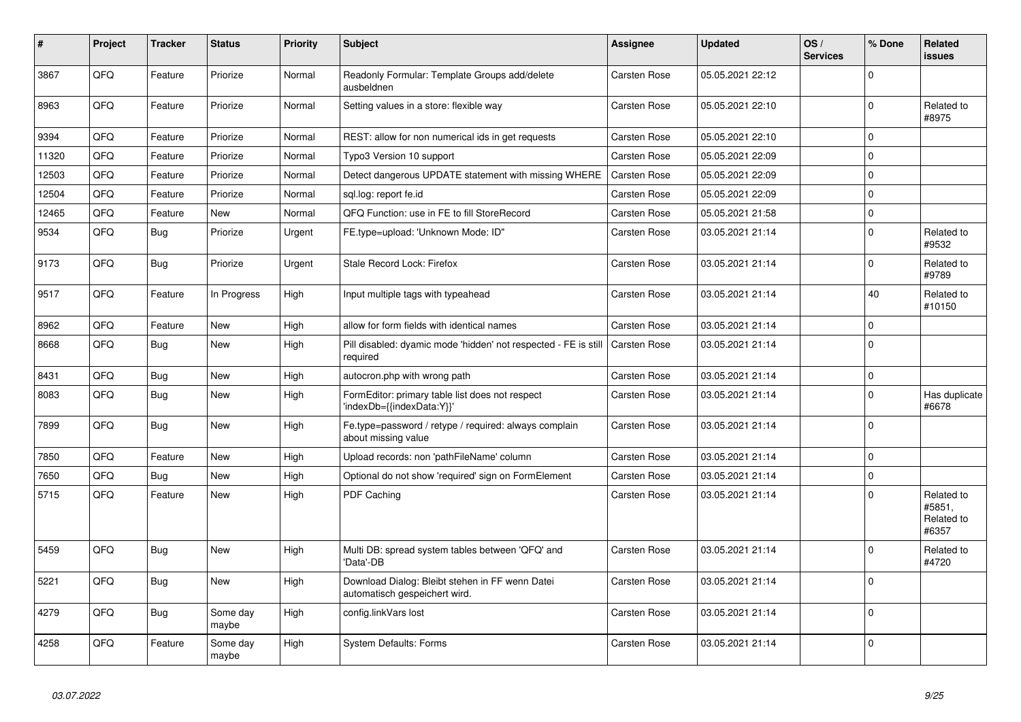| $\vert$ # | Project | <b>Tracker</b> | <b>Status</b>     | <b>Priority</b> | <b>Subject</b>                                                                             | Assignee            | <b>Updated</b>   | OS/<br><b>Services</b> | % Done      | <b>Related</b><br>issues                    |
|-----------|---------|----------------|-------------------|-----------------|--------------------------------------------------------------------------------------------|---------------------|------------------|------------------------|-------------|---------------------------------------------|
| 3867      | QFQ     | Feature        | Priorize          | Normal          | Readonly Formular: Template Groups add/delete<br>ausbeldnen                                | Carsten Rose        | 05.05.2021 22:12 |                        | $\Omega$    |                                             |
| 8963      | QFQ     | Feature        | Priorize          | Normal          | Setting values in a store: flexible way                                                    | Carsten Rose        | 05.05.2021 22:10 |                        | $\Omega$    | Related to<br>#8975                         |
| 9394      | QFQ     | Feature        | Priorize          | Normal          | REST: allow for non numerical ids in get requests                                          | Carsten Rose        | 05.05.2021 22:10 |                        | 0           |                                             |
| 11320     | QFQ     | Feature        | Priorize          | Normal          | Typo3 Version 10 support                                                                   | Carsten Rose        | 05.05.2021 22:09 |                        | 0           |                                             |
| 12503     | QFQ     | Feature        | Priorize          | Normal          | Detect dangerous UPDATE statement with missing WHERE                                       | <b>Carsten Rose</b> | 05.05.2021 22:09 |                        | $\mathbf 0$ |                                             |
| 12504     | QFQ     | Feature        | Priorize          | Normal          | sgl.log: report fe.id                                                                      | Carsten Rose        | 05.05.2021 22:09 |                        | 0           |                                             |
| 12465     | QFQ     | Feature        | <b>New</b>        | Normal          | QFQ Function: use in FE to fill StoreRecord                                                | Carsten Rose        | 05.05.2021 21:58 |                        | $\pmb{0}$   |                                             |
| 9534      | QFQ     | Bug            | Priorize          | Urgent          | FE.type=upload: 'Unknown Mode: ID"                                                         | Carsten Rose        | 03.05.2021 21:14 |                        | $\mathbf 0$ | Related to<br>#9532                         |
| 9173      | QFQ     | Bug            | Priorize          | Urgent          | Stale Record Lock: Firefox                                                                 | Carsten Rose        | 03.05.2021 21:14 |                        | 0           | Related to<br>#9789                         |
| 9517      | QFQ     | Feature        | In Progress       | High            | Input multiple tags with typeahead                                                         | Carsten Rose        | 03.05.2021 21:14 |                        | 40          | Related to<br>#10150                        |
| 8962      | QFQ     | Feature        | New               | High            | allow for form fields with identical names                                                 | Carsten Rose        | 03.05.2021 21:14 |                        | 0           |                                             |
| 8668      | QFQ     | Bug            | <b>New</b>        | High            | Pill disabled: dyamic mode 'hidden' not respected - FE is still   Carsten Rose<br>required |                     | 03.05.2021 21:14 |                        | $\mathbf 0$ |                                             |
| 8431      | QFQ     | Bug            | <b>New</b>        | High            | autocron.php with wrong path                                                               | Carsten Rose        | 03.05.2021 21:14 |                        | 0           |                                             |
| 8083      | QFQ     | Bug            | <b>New</b>        | High            | FormEditor: primary table list does not respect<br>'indexDb={{indexData:Y}}'               | Carsten Rose        | 03.05.2021 21:14 |                        | $\mathbf 0$ | Has duplicate<br>#6678                      |
| 7899      | QFQ     | <b>Bug</b>     | <b>New</b>        | High            | Fe.type=password / retype / required: always complain<br>about missing value               | Carsten Rose        | 03.05.2021 21:14 |                        | $\mathbf 0$ |                                             |
| 7850      | QFQ     | Feature        | <b>New</b>        | High            | Upload records: non 'pathFileName' column                                                  | Carsten Rose        | 03.05.2021 21:14 |                        | 0           |                                             |
| 7650      | QFQ     | <b>Bug</b>     | <b>New</b>        | High            | Optional do not show 'required' sign on FormElement                                        | Carsten Rose        | 03.05.2021 21:14 |                        | 0           |                                             |
| 5715      | QFQ     | Feature        | <b>New</b>        | High            | PDF Caching                                                                                | Carsten Rose        | 03.05.2021 21:14 |                        | $\mathbf 0$ | Related to<br>#5851,<br>Related to<br>#6357 |
| 5459      | QFQ     | <b>Bug</b>     | <b>New</b>        | High            | Multi DB: spread system tables between 'QFQ' and<br>'Data'-DB                              | <b>Carsten Rose</b> | 03.05.2021 21:14 |                        | $\Omega$    | Related to<br>#4720                         |
| 5221      | QFQ     | Bug            | <b>New</b>        | High            | Download Dialog: Bleibt stehen in FF wenn Datei<br>automatisch gespeichert wird.           | Carsten Rose        | 03.05.2021 21:14 |                        | 0           |                                             |
| 4279      | QFQ     | Bug            | Some day<br>maybe | High            | config.linkVars lost                                                                       | Carsten Rose        | 03.05.2021 21:14 |                        | $\mathbf 0$ |                                             |
| 4258      | QFQ     | Feature        | Some day<br>maybe | High            | <b>System Defaults: Forms</b>                                                              | Carsten Rose        | 03.05.2021 21:14 |                        | 0           |                                             |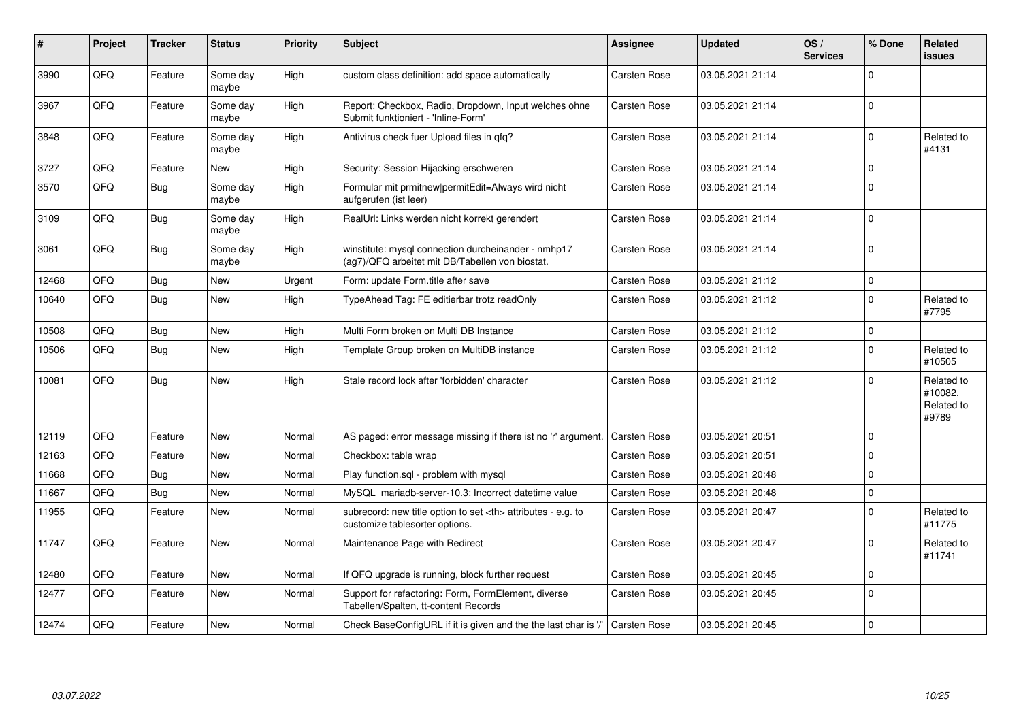| ∦     | Project | <b>Tracker</b> | <b>Status</b>     | <b>Priority</b> | <b>Subject</b>                                                                                         | Assignee                                               | <b>Updated</b>   | OS/<br><b>Services</b> | % Done      | Related<br><b>issues</b>                     |                      |
|-------|---------|----------------|-------------------|-----------------|--------------------------------------------------------------------------------------------------------|--------------------------------------------------------|------------------|------------------------|-------------|----------------------------------------------|----------------------|
| 3990  | QFQ     | Feature        | Some day<br>maybe | High            | custom class definition: add space automatically                                                       | Carsten Rose                                           | 03.05.2021 21:14 |                        | $\Omega$    |                                              |                      |
| 3967  | QFQ     | Feature        | Some day<br>maybe | High            | Report: Checkbox, Radio, Dropdown, Input welches ohne<br>Submit funktioniert - 'Inline-Form'           | Carsten Rose                                           | 03.05.2021 21:14 |                        | $\mathbf 0$ |                                              |                      |
| 3848  | QFQ     | Feature        | Some day<br>maybe | High            | Antivirus check fuer Upload files in qfq?                                                              | Carsten Rose                                           | 03.05.2021 21:14 |                        | $\mathbf 0$ | Related to<br>#4131                          |                      |
| 3727  | QFQ     | Feature        | New               | High            | Security: Session Hijacking erschweren                                                                 | Carsten Rose                                           | 03.05.2021 21:14 |                        | $\mathbf 0$ |                                              |                      |
| 3570  | QFQ     | <b>Bug</b>     | Some day<br>maybe | High            | Formular mit prmitnew permitEdit=Always wird nicht<br>aufgerufen (ist leer)                            | Carsten Rose                                           | 03.05.2021 21:14 |                        | $\mathbf 0$ |                                              |                      |
| 3109  | QFQ     | <b>Bug</b>     | Some day<br>maybe | High            | RealUrl: Links werden nicht korrekt gerendert                                                          | Carsten Rose                                           | 03.05.2021 21:14 |                        | $\mathbf 0$ |                                              |                      |
| 3061  | QFQ     | Bug            | Some day<br>maybe | High            | winstitute: mysql connection durcheinander - nmhp17<br>(ag7)/QFQ arbeitet mit DB/Tabellen von biostat. | Carsten Rose                                           | 03.05.2021 21:14 |                        | $\mathbf 0$ |                                              |                      |
| 12468 | QFQ     | Bug            | <b>New</b>        | Urgent          | Form: update Form.title after save                                                                     | Carsten Rose                                           | 03.05.2021 21:12 |                        | $\mathbf 0$ |                                              |                      |
| 10640 | QFQ     | Bug            | New               | High            | TypeAhead Tag: FE editierbar trotz readOnly                                                            | Carsten Rose                                           | 03.05.2021 21:12 |                        | $\mathbf 0$ | Related to<br>#7795                          |                      |
| 10508 | QFQ     | <b>Bug</b>     | <b>New</b>        | High            | Multi Form broken on Multi DB Instance                                                                 | Carsten Rose                                           | 03.05.2021 21:12 |                        | $\pmb{0}$   |                                              |                      |
| 10506 | QFQ     | <b>Bug</b>     | New               | High            | Template Group broken on MultiDB instance                                                              | Carsten Rose                                           | 03.05.2021 21:12 |                        | $\mathbf 0$ | Related to<br>#10505                         |                      |
| 10081 | QFQ     | Bug            | <b>New</b>        | High            | Stale record lock after 'forbidden' character                                                          | Carsten Rose                                           | 03.05.2021 21:12 |                        | $\mathbf 0$ | Related to<br>#10082,<br>Related to<br>#9789 |                      |
| 12119 | QFQ     | Feature        | <b>New</b>        | Normal          | AS paged: error message missing if there ist no 'r' argument.                                          | Carsten Rose                                           | 03.05.2021 20:51 |                        | $\mathbf 0$ |                                              |                      |
| 12163 | QFQ     | Feature        | <b>New</b>        | Normal          | Checkbox: table wrap                                                                                   | Carsten Rose                                           | 03.05.2021 20:51 |                        | $\pmb{0}$   |                                              |                      |
| 11668 | QFQ     | <b>Bug</b>     | <b>New</b>        | Normal          | Play function.sql - problem with mysql                                                                 | Carsten Rose                                           | 03.05.2021 20:48 |                        | $\pmb{0}$   |                                              |                      |
| 11667 | QFQ     | <b>Bug</b>     | New               | Normal          | MySQL mariadb-server-10.3: Incorrect datetime value                                                    | Carsten Rose                                           | 03.05.2021 20:48 |                        | $\pmb{0}$   |                                              |                      |
| 11955 | QFQ     | Feature        | <b>New</b>        | Normal          | subrecord: new title option to set <th> attributes - e.g. to<br/>customize tablesorter options.</th>   | attributes - e.g. to<br>customize tablesorter options. | Carsten Rose     | 03.05.2021 20:47       |             | $\mathbf 0$                                  | Related to<br>#11775 |
| 11747 | QFQ     | Feature        | New               | Normal          | Maintenance Page with Redirect                                                                         | Carsten Rose                                           | 03.05.2021 20:47 |                        | $\mathbf 0$ | Related to<br>#11741                         |                      |
| 12480 | QFQ     | Feature        | <b>New</b>        | Normal          | If QFQ upgrade is running, block further request                                                       | Carsten Rose                                           | 03.05.2021 20:45 |                        | $\mathbf 0$ |                                              |                      |
| 12477 | QFQ     | Feature        | New               | Normal          | Support for refactoring: Form, FormElement, diverse<br>Tabellen/Spalten, tt-content Records            | Carsten Rose                                           | 03.05.2021 20:45 |                        | $\mathbf 0$ |                                              |                      |
| 12474 | QFQ     | Feature        | <b>New</b>        | Normal          | Check BaseConfigURL if it is given and the the last char is '/'                                        | Carsten Rose                                           | 03.05.2021 20:45 |                        | $\mathbf 0$ |                                              |                      |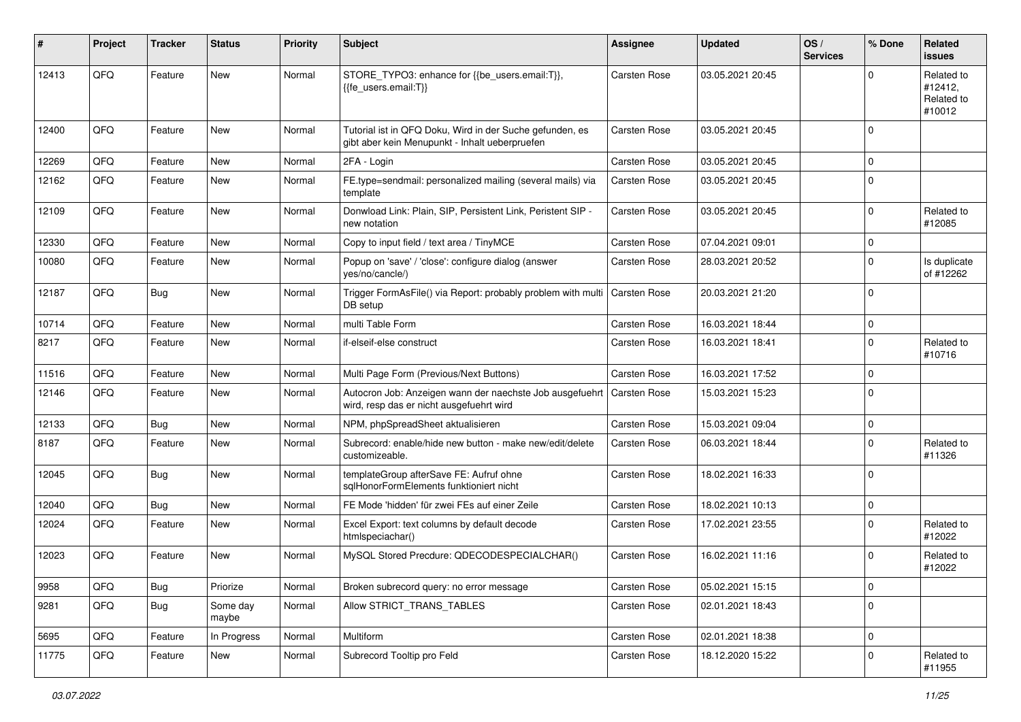| #     | Project | <b>Tracker</b> | <b>Status</b>     | <b>Priority</b> | <b>Subject</b>                                                                                             | <b>Assignee</b>     | <b>Updated</b>   | OS/<br><b>Services</b> | % Done      | <b>Related</b><br>issues                      |
|-------|---------|----------------|-------------------|-----------------|------------------------------------------------------------------------------------------------------------|---------------------|------------------|------------------------|-------------|-----------------------------------------------|
| 12413 | QFQ     | Feature        | New               | Normal          | STORE_TYPO3: enhance for {{be_users.email:T}},<br>{{fe users.email:T}}                                     | Carsten Rose        | 03.05.2021 20:45 |                        | $\Omega$    | Related to<br>#12412,<br>Related to<br>#10012 |
| 12400 | QFQ     | Feature        | <b>New</b>        | Normal          | Tutorial ist in QFQ Doku, Wird in der Suche gefunden, es<br>gibt aber kein Menupunkt - Inhalt ueberpruefen | <b>Carsten Rose</b> | 03.05.2021 20:45 |                        | $\mathbf 0$ |                                               |
| 12269 | QFQ     | Feature        | <b>New</b>        | Normal          | 2FA - Login                                                                                                | <b>Carsten Rose</b> | 03.05.2021 20:45 |                        | $\mathbf 0$ |                                               |
| 12162 | QFQ     | Feature        | New               | Normal          | FE.type=sendmail: personalized mailing (several mails) via<br>template                                     | <b>Carsten Rose</b> | 03.05.2021 20:45 |                        | $\mathbf 0$ |                                               |
| 12109 | QFQ     | Feature        | New               | Normal          | Donwload Link: Plain, SIP, Persistent Link, Peristent SIP -<br>new notation                                | Carsten Rose        | 03.05.2021 20:45 |                        | $\mathbf 0$ | Related to<br>#12085                          |
| 12330 | QFQ     | Feature        | <b>New</b>        | Normal          | Copy to input field / text area / TinyMCE                                                                  | Carsten Rose        | 07.04.2021 09:01 |                        | $\mathbf 0$ |                                               |
| 10080 | QFQ     | Feature        | New               | Normal          | Popup on 'save' / 'close': configure dialog (answer<br>yes/no/cancle/)                                     | Carsten Rose        | 28.03.2021 20:52 |                        | $\mathbf 0$ | Is duplicate<br>of #12262                     |
| 12187 | QFQ     | <b>Bug</b>     | New               | Normal          | Trigger FormAsFile() via Report: probably problem with multi<br>DB setup                                   | <b>Carsten Rose</b> | 20.03.2021 21:20 |                        | $\mathbf 0$ |                                               |
| 10714 | QFQ     | Feature        | New               | Normal          | multi Table Form                                                                                           | <b>Carsten Rose</b> | 16.03.2021 18:44 |                        | 0           |                                               |
| 8217  | QFQ     | Feature        | New               | Normal          | if-elseif-else construct                                                                                   | Carsten Rose        | 16.03.2021 18:41 |                        | $\mathbf 0$ | Related to<br>#10716                          |
| 11516 | QFQ     | Feature        | New               | Normal          | Multi Page Form (Previous/Next Buttons)                                                                    | <b>Carsten Rose</b> | 16.03.2021 17:52 |                        | $\mathbf 0$ |                                               |
| 12146 | QFQ     | Feature        | New               | Normal          | Autocron Job: Anzeigen wann der naechste Job ausgefuehrt<br>wird, resp das er nicht ausgefuehrt wird       | Carsten Rose        | 15.03.2021 15:23 |                        | $\mathbf 0$ |                                               |
| 12133 | QFQ     | <b>Bug</b>     | New               | Normal          | NPM, phpSpreadSheet aktualisieren                                                                          | Carsten Rose        | 15.03.2021 09:04 |                        | $\mathbf 0$ |                                               |
| 8187  | QFQ     | Feature        | New               | Normal          | Subrecord: enable/hide new button - make new/edit/delete<br>customizeable.                                 | <b>Carsten Rose</b> | 06.03.2021 18:44 |                        | $\mathbf 0$ | Related to<br>#11326                          |
| 12045 | QFQ     | <b>Bug</b>     | New               | Normal          | templateGroup afterSave FE: Aufruf ohne<br>sglHonorFormElements funktioniert nicht                         | <b>Carsten Rose</b> | 18.02.2021 16:33 |                        | $\Omega$    |                                               |
| 12040 | QFQ     | <b>Bug</b>     | New               | Normal          | FE Mode 'hidden' für zwei FEs auf einer Zeile                                                              | <b>Carsten Rose</b> | 18.02.2021 10:13 |                        | $\mathbf 0$ |                                               |
| 12024 | QFQ     | Feature        | New               | Normal          | Excel Export: text columns by default decode<br>htmlspeciachar()                                           | <b>Carsten Rose</b> | 17.02.2021 23:55 |                        | $\mathbf 0$ | Related to<br>#12022                          |
| 12023 | QFQ     | Feature        | New               | Normal          | MySQL Stored Precdure: QDECODESPECIALCHAR()                                                                | <b>Carsten Rose</b> | 16.02.2021 11:16 |                        | $\mathbf 0$ | Related to<br>#12022                          |
| 9958  | QFQ     | <b>Bug</b>     | Priorize          | Normal          | Broken subrecord query: no error message                                                                   | Carsten Rose        | 05.02.2021 15:15 |                        | 0           |                                               |
| 9281  | QFQ     | <b>Bug</b>     | Some day<br>maybe | Normal          | Allow STRICT_TRANS_TABLES                                                                                  | Carsten Rose        | 02.01.2021 18:43 |                        | $\mathbf 0$ |                                               |
| 5695  | QFQ     | Feature        | In Progress       | Normal          | Multiform                                                                                                  | Carsten Rose        | 02.01.2021 18:38 |                        | $\mathbf 0$ |                                               |
| 11775 | QFQ     | Feature        | New               | Normal          | Subrecord Tooltip pro Feld                                                                                 | Carsten Rose        | 18.12.2020 15:22 |                        | $\mathbf 0$ | Related to<br>#11955                          |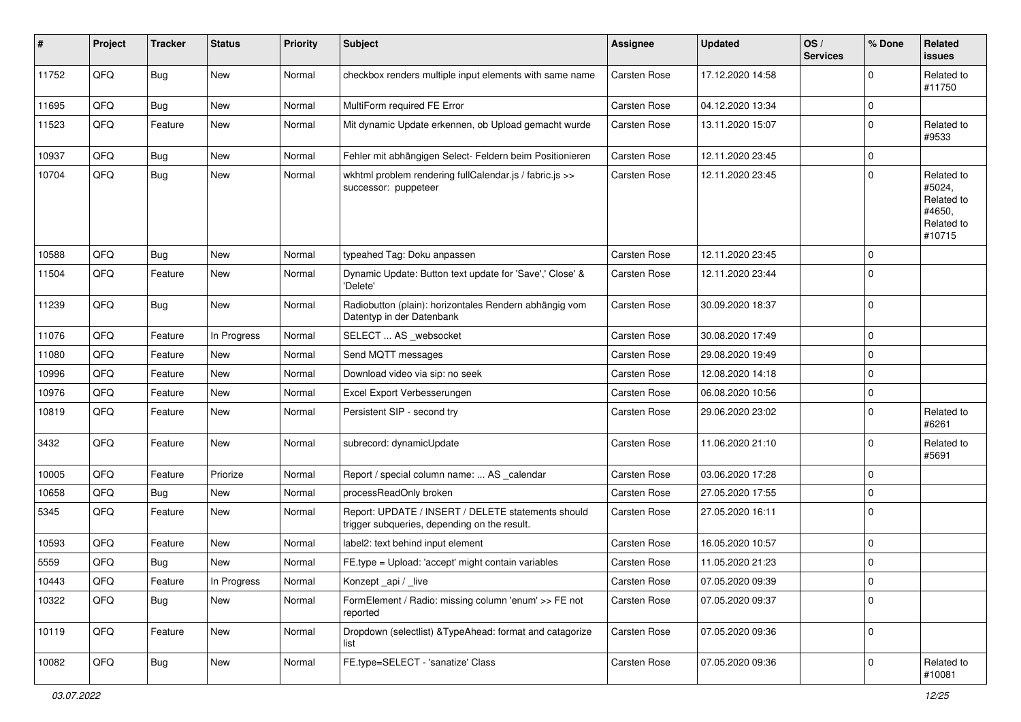| #     | Project | <b>Tracker</b> | <b>Status</b> | <b>Priority</b> | <b>Subject</b>                                                                                     | <b>Assignee</b>     | <b>Updated</b>   | OS/<br><b>Services</b> | % Done      | Related<br><b>issues</b>                                             |
|-------|---------|----------------|---------------|-----------------|----------------------------------------------------------------------------------------------------|---------------------|------------------|------------------------|-------------|----------------------------------------------------------------------|
| 11752 | QFQ     | <b>Bug</b>     | New           | Normal          | checkbox renders multiple input elements with same name                                            | Carsten Rose        | 17.12.2020 14:58 |                        | $\Omega$    | Related to<br>#11750                                                 |
| 11695 | QFQ     | <b>Bug</b>     | <b>New</b>    | Normal          | MultiForm required FE Error                                                                        | <b>Carsten Rose</b> | 04.12.2020 13:34 |                        | $\Omega$    |                                                                      |
| 11523 | QFQ     | Feature        | New           | Normal          | Mit dynamic Update erkennen, ob Upload gemacht wurde                                               | Carsten Rose        | 13.11.2020 15:07 |                        | $\Omega$    | Related to<br>#9533                                                  |
| 10937 | QFQ     | <b>Bug</b>     | <b>New</b>    | Normal          | Fehler mit abhängigen Select- Feldern beim Positionieren                                           | Carsten Rose        | 12.11.2020 23:45 |                        | $\mathbf 0$ |                                                                      |
| 10704 | QFQ     | <b>Bug</b>     | New           | Normal          | wkhtml problem rendering fullCalendar.js / fabric.js >><br>successor: puppeteer                    | Carsten Rose        | 12.11.2020 23:45 |                        | $\mathbf 0$ | Related to<br>#5024,<br>Related to<br>#4650,<br>Related to<br>#10715 |
| 10588 | QFQ     | <b>Bug</b>     | New           | Normal          | typeahed Tag: Doku anpassen                                                                        | Carsten Rose        | 12.11.2020 23:45 |                        | 0           |                                                                      |
| 11504 | QFQ     | Feature        | New           | Normal          | Dynamic Update: Button text update for 'Save',' Close' &<br>'Delete'                               | Carsten Rose        | 12.11.2020 23:44 |                        | $\Omega$    |                                                                      |
| 11239 | QFQ     | <b>Bug</b>     | New           | Normal          | Radiobutton (plain): horizontales Rendern abhängig vom<br>Datentyp in der Datenbank                | <b>Carsten Rose</b> | 30.09.2020 18:37 |                        | $\mathbf 0$ |                                                                      |
| 11076 | QFQ     | Feature        | In Progress   | Normal          | SELECT  AS _websocket                                                                              | <b>Carsten Rose</b> | 30.08.2020 17:49 |                        | $\mathbf 0$ |                                                                      |
| 11080 | QFQ     | Feature        | New           | Normal          | Send MQTT messages                                                                                 | Carsten Rose        | 29.08.2020 19:49 |                        | $\Omega$    |                                                                      |
| 10996 | QFQ     | Feature        | New           | Normal          | Download video via sip: no seek                                                                    | <b>Carsten Rose</b> | 12.08.2020 14:18 |                        | 0           |                                                                      |
| 10976 | QFQ     | Feature        | New           | Normal          | Excel Export Verbesserungen                                                                        | Carsten Rose        | 06.08.2020 10:56 |                        | 0           |                                                                      |
| 10819 | QFQ     | Feature        | New           | Normal          | Persistent SIP - second try                                                                        | Carsten Rose        | 29.06.2020 23:02 |                        | $\Omega$    | Related to<br>#6261                                                  |
| 3432  | QFQ     | Feature        | New           | Normal          | subrecord: dynamicUpdate                                                                           | Carsten Rose        | 11.06.2020 21:10 |                        | $\mathbf 0$ | Related to<br>#5691                                                  |
| 10005 | QFQ     | Feature        | Priorize      | Normal          | Report / special column name:  AS _calendar                                                        | Carsten Rose        | 03.06.2020 17:28 |                        | $\Omega$    |                                                                      |
| 10658 | QFQ     | <b>Bug</b>     | New           | Normal          | processReadOnly broken                                                                             | Carsten Rose        | 27.05.2020 17:55 |                        | $\Omega$    |                                                                      |
| 5345  | QFQ     | Feature        | New           | Normal          | Report: UPDATE / INSERT / DELETE statements should<br>trigger subqueries, depending on the result. | Carsten Rose        | 27.05.2020 16:11 |                        | $\mathbf 0$ |                                                                      |
| 10593 | QFQ     | Feature        | New           | Normal          | label2: text behind input element                                                                  | Carsten Rose        | 16.05.2020 10:57 |                        | $\Omega$    |                                                                      |
| 5559  | QFQ     | <b>Bug</b>     | New           | Normal          | FE.type = Upload: 'accept' might contain variables                                                 | <b>Carsten Rose</b> | 11.05.2020 21:23 |                        | 0           |                                                                      |
| 10443 | QFQ     | Feature        | In Progress   | Normal          | Konzept _api / _live                                                                               | Carsten Rose        | 07.05.2020 09:39 |                        | 0           |                                                                      |
| 10322 | QFQ     | Bug            | New           | Normal          | FormElement / Radio: missing column 'enum' >> FE not<br>reported                                   | Carsten Rose        | 07.05.2020 09:37 |                        | $\Omega$    |                                                                      |
| 10119 | QFQ     | Feature        | New           | Normal          | Dropdown (selectlist) & TypeAhead: format and catagorize<br>list                                   | Carsten Rose        | 07.05.2020 09:36 |                        | $\mathbf 0$ |                                                                      |
| 10082 | QFQ     | <b>Bug</b>     | New           | Normal          | FE.type=SELECT - 'sanatize' Class                                                                  | Carsten Rose        | 07.05.2020 09:36 |                        | $\mathbf 0$ | Related to<br>#10081                                                 |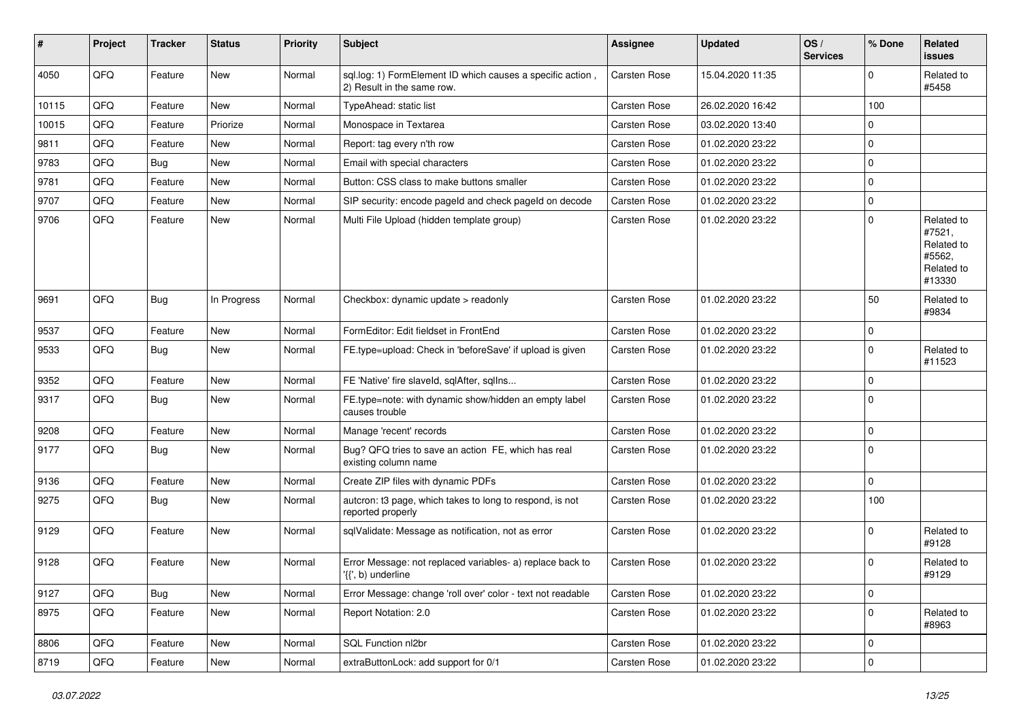| #     | Project | <b>Tracker</b> | <b>Status</b> | <b>Priority</b> | <b>Subject</b>                                                                          | <b>Assignee</b>     | <b>Updated</b>   | OS/<br><b>Services</b> | % Done      | Related<br>issues                                                    |
|-------|---------|----------------|---------------|-----------------|-----------------------------------------------------------------------------------------|---------------------|------------------|------------------------|-------------|----------------------------------------------------------------------|
| 4050  | QFQ     | Feature        | New           | Normal          | sql.log: 1) FormElement ID which causes a specific action<br>2) Result in the same row. | Carsten Rose        | 15.04.2020 11:35 |                        | 0           | Related to<br>#5458                                                  |
| 10115 | QFQ     | Feature        | <b>New</b>    | Normal          | TypeAhead: static list                                                                  | <b>Carsten Rose</b> | 26.02.2020 16:42 |                        | 100         |                                                                      |
| 10015 | QFQ     | Feature        | Priorize      | Normal          | Monospace in Textarea                                                                   | Carsten Rose        | 03.02.2020 13:40 |                        | 0           |                                                                      |
| 9811  | QFQ     | Feature        | New           | Normal          | Report: tag every n'th row                                                              | Carsten Rose        | 01.02.2020 23:22 |                        | $\mathbf 0$ |                                                                      |
| 9783  | QFQ     | <b>Bug</b>     | <b>New</b>    | Normal          | Email with special characters                                                           | Carsten Rose        | 01.02.2020 23:22 |                        | $\pmb{0}$   |                                                                      |
| 9781  | QFQ     | Feature        | New           | Normal          | Button: CSS class to make buttons smaller                                               | <b>Carsten Rose</b> | 01.02.2020 23:22 |                        | 0           |                                                                      |
| 9707  | QFQ     | Feature        | <b>New</b>    | Normal          | SIP security: encode pageld and check pageld on decode                                  | Carsten Rose        | 01.02.2020 23:22 |                        | 0           |                                                                      |
| 9706  | QFQ     | Feature        | New           | Normal          | Multi File Upload (hidden template group)                                               | Carsten Rose        | 01.02.2020 23:22 |                        | $\mathbf 0$ | Related to<br>#7521,<br>Related to<br>#5562,<br>Related to<br>#13330 |
| 9691  | QFQ     | Bug            | In Progress   | Normal          | Checkbox: dynamic update > readonly                                                     | Carsten Rose        | 01.02.2020 23:22 |                        | 50          | Related to<br>#9834                                                  |
| 9537  | QFQ     | Feature        | <b>New</b>    | Normal          | FormEditor: Edit fieldset in FrontEnd                                                   | Carsten Rose        | 01.02.2020 23:22 |                        | $\mathbf 0$ |                                                                      |
| 9533  | QFQ     | Bug            | New           | Normal          | FE.type=upload: Check in 'beforeSave' if upload is given                                | <b>Carsten Rose</b> | 01.02.2020 23:22 |                        | 0           | Related to<br>#11523                                                 |
| 9352  | QFQ     | Feature        | <b>New</b>    | Normal          | FE 'Native' fire slaveld, sqlAfter, sqlIns                                              | Carsten Rose        | 01.02.2020 23:22 |                        | $\mathbf 0$ |                                                                      |
| 9317  | QFQ     | <b>Bug</b>     | New           | Normal          | FE.type=note: with dynamic show/hidden an empty label<br>causes trouble                 | Carsten Rose        | 01.02.2020 23:22 |                        | $\Omega$    |                                                                      |
| 9208  | QFQ     | Feature        | New           | Normal          | Manage 'recent' records                                                                 | Carsten Rose        | 01.02.2020 23:22 |                        | 0           |                                                                      |
| 9177  | QFQ     | Bug            | New           | Normal          | Bug? QFQ tries to save an action FE, which has real<br>existing column name             | Carsten Rose        | 01.02.2020 23:22 |                        | $\Omega$    |                                                                      |
| 9136  | QFQ     | Feature        | <b>New</b>    | Normal          | Create ZIP files with dynamic PDFs                                                      | <b>Carsten Rose</b> | 01.02.2020 23:22 |                        | 0           |                                                                      |
| 9275  | QFQ     | Bug            | New           | Normal          | autcron: t3 page, which takes to long to respond, is not<br>reported properly           | Carsten Rose        | 01.02.2020 23:22 |                        | 100         |                                                                      |
| 9129  | QFQ     | Feature        | <b>New</b>    | Normal          | sqlValidate: Message as notification, not as error                                      | <b>Carsten Rose</b> | 01.02.2020 23:22 |                        | 0           | Related to<br>#9128                                                  |
| 9128  | QFQ     | Feature        | <b>New</b>    | Normal          | Error Message: not replaced variables- a) replace back to<br>'{{', b) underline         | Carsten Rose        | 01.02.2020 23:22 |                        | $\Omega$    | Related to<br>#9129                                                  |
| 9127  | QFQ     | Bug            | New           | Normal          | Error Message: change 'roll over' color - text not readable                             | Carsten Rose        | 01.02.2020 23:22 |                        | $\mathbf 0$ |                                                                      |
| 8975  | QFQ     | Feature        | New           | Normal          | Report Notation: 2.0                                                                    | Carsten Rose        | 01.02.2020 23:22 |                        | $\mathbf 0$ | Related to<br>#8963                                                  |
| 8806  | QFQ     | Feature        | New           | Normal          | SQL Function nl2br                                                                      | Carsten Rose        | 01.02.2020 23:22 |                        | $\pmb{0}$   |                                                                      |
| 8719  | QFQ     | Feature        | New           | Normal          | extraButtonLock: add support for 0/1                                                    | Carsten Rose        | 01.02.2020 23:22 |                        | $\pmb{0}$   |                                                                      |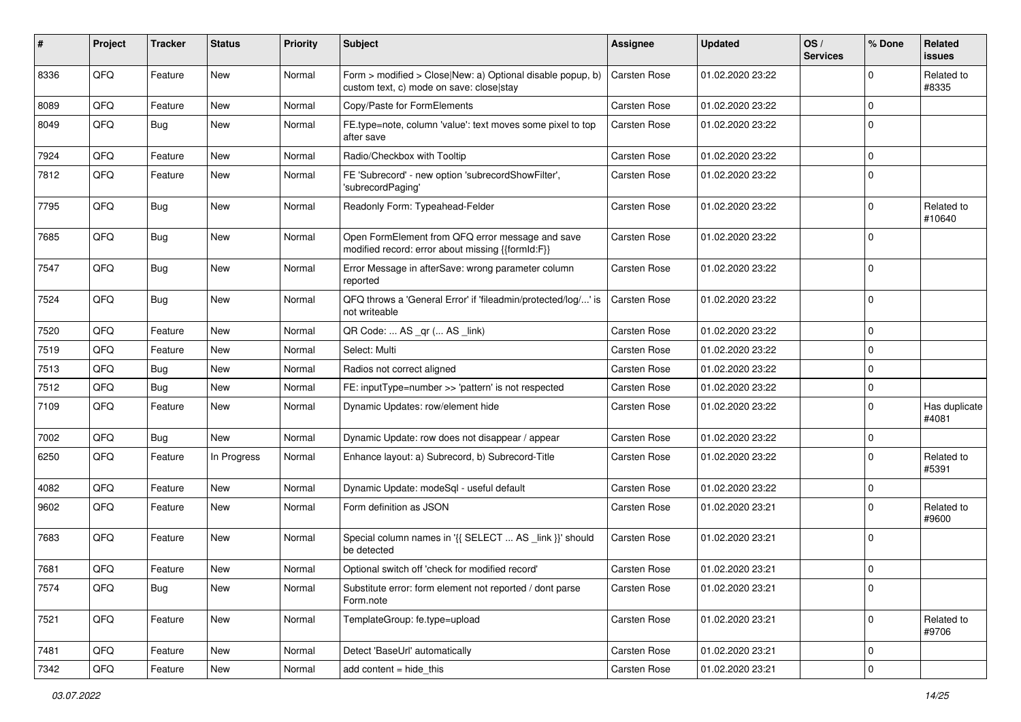| #    | Project | <b>Tracker</b> | <b>Status</b> | <b>Priority</b> | <b>Subject</b>                                                                                         | Assignee            | <b>Updated</b>   | OS/<br><b>Services</b> | % Done      | Related<br>issues      |
|------|---------|----------------|---------------|-----------------|--------------------------------------------------------------------------------------------------------|---------------------|------------------|------------------------|-------------|------------------------|
| 8336 | QFQ     | Feature        | New           | Normal          | Form > modified > Close New: a) Optional disable popup, b)<br>custom text, c) mode on save: close stay | Carsten Rose        | 01.02.2020 23:22 |                        | $\Omega$    | Related to<br>#8335    |
| 8089 | QFQ     | Feature        | New           | Normal          | Copy/Paste for FormElements                                                                            | Carsten Rose        | 01.02.2020 23:22 |                        | $\Omega$    |                        |
| 8049 | QFQ     | <b>Bug</b>     | New           | Normal          | FE.type=note, column 'value': text moves some pixel to top<br>after save                               | Carsten Rose        | 01.02.2020 23:22 |                        | $\mathbf 0$ |                        |
| 7924 | QFQ     | Feature        | New           | Normal          | Radio/Checkbox with Tooltip                                                                            | Carsten Rose        | 01.02.2020 23:22 |                        | 0           |                        |
| 7812 | QFQ     | Feature        | New           | Normal          | FE 'Subrecord' - new option 'subrecordShowFilter',<br>'subrecordPaging'                                | Carsten Rose        | 01.02.2020 23:22 |                        | $\Omega$    |                        |
| 7795 | QFQ     | <b>Bug</b>     | New           | Normal          | Readonly Form: Typeahead-Felder                                                                        | Carsten Rose        | 01.02.2020 23:22 |                        | $\mathbf 0$ | Related to<br>#10640   |
| 7685 | QFQ     | <b>Bug</b>     | New           | Normal          | Open FormElement from QFQ error message and save<br>modified record: error about missing {{formId:F}}  | Carsten Rose        | 01.02.2020 23:22 |                        | $\Omega$    |                        |
| 7547 | QFQ     | <b>Bug</b>     | New           | Normal          | Error Message in afterSave: wrong parameter column<br>reported                                         | Carsten Rose        | 01.02.2020 23:22 |                        | $\Omega$    |                        |
| 7524 | QFQ     | <b>Bug</b>     | New           | Normal          | QFQ throws a 'General Error' if 'fileadmin/protected/log/' is<br>not writeable                         | Carsten Rose        | 01.02.2020 23:22 |                        | 0           |                        |
| 7520 | QFQ     | Feature        | New           | Normal          | QR Code:  AS _qr ( AS _link)                                                                           | Carsten Rose        | 01.02.2020 23:22 |                        | 0           |                        |
| 7519 | QFQ     | Feature        | New           | Normal          | Select: Multi                                                                                          | Carsten Rose        | 01.02.2020 23:22 |                        | 0           |                        |
| 7513 | QFQ     | <b>Bug</b>     | New           | Normal          | Radios not correct aligned                                                                             | Carsten Rose        | 01.02.2020 23:22 |                        | 0           |                        |
| 7512 | QFQ     | <b>Bug</b>     | New           | Normal          | FE: inputType=number >> 'pattern' is not respected                                                     | Carsten Rose        | 01.02.2020 23:22 |                        | $\mathbf 0$ |                        |
| 7109 | QFQ     | Feature        | New           | Normal          | Dynamic Updates: row/element hide                                                                      | Carsten Rose        | 01.02.2020 23:22 |                        | $\mathbf 0$ | Has duplicate<br>#4081 |
| 7002 | QFQ     | <b>Bug</b>     | New           | Normal          | Dynamic Update: row does not disappear / appear                                                        | <b>Carsten Rose</b> | 01.02.2020 23:22 |                        | 0           |                        |
| 6250 | QFQ     | Feature        | In Progress   | Normal          | Enhance layout: a) Subrecord, b) Subrecord-Title                                                       | Carsten Rose        | 01.02.2020 23:22 |                        | $\Omega$    | Related to<br>#5391    |
| 4082 | QFQ     | Feature        | <b>New</b>    | Normal          | Dynamic Update: modeSql - useful default                                                               | <b>Carsten Rose</b> | 01.02.2020 23:22 |                        | 0           |                        |
| 9602 | QFQ     | Feature        | New           | Normal          | Form definition as JSON                                                                                | Carsten Rose        | 01.02.2020 23:21 |                        | $\mathbf 0$ | Related to<br>#9600    |
| 7683 | QFQ     | Feature        | New           | Normal          | Special column names in '{{ SELECT  AS _link }}' should<br>be detected                                 | Carsten Rose        | 01.02.2020 23:21 |                        | 0           |                        |
| 7681 | QFQ     | Feature        | New           | Normal          | Optional switch off 'check for modified record'                                                        | Carsten Rose        | 01.02.2020 23:21 |                        | $\mathbf 0$ |                        |
| 7574 | QFQ     | <b>Bug</b>     | New           | Normal          | Substitute error: form element not reported / dont parse<br>Form.note                                  | Carsten Rose        | 01.02.2020 23:21 |                        | $\pmb{0}$   |                        |
| 7521 | QFQ     | Feature        | New           | Normal          | TemplateGroup: fe.type=upload                                                                          | Carsten Rose        | 01.02.2020 23:21 |                        | 0           | Related to<br>#9706    |
| 7481 | QFQ     | Feature        | New           | Normal          | Detect 'BaseUrl' automatically                                                                         | Carsten Rose        | 01.02.2020 23:21 |                        | 0           |                        |
| 7342 | QFG     | Feature        | New           | Normal          | add content = hide_this                                                                                | Carsten Rose        | 01.02.2020 23:21 |                        | $\pmb{0}$   |                        |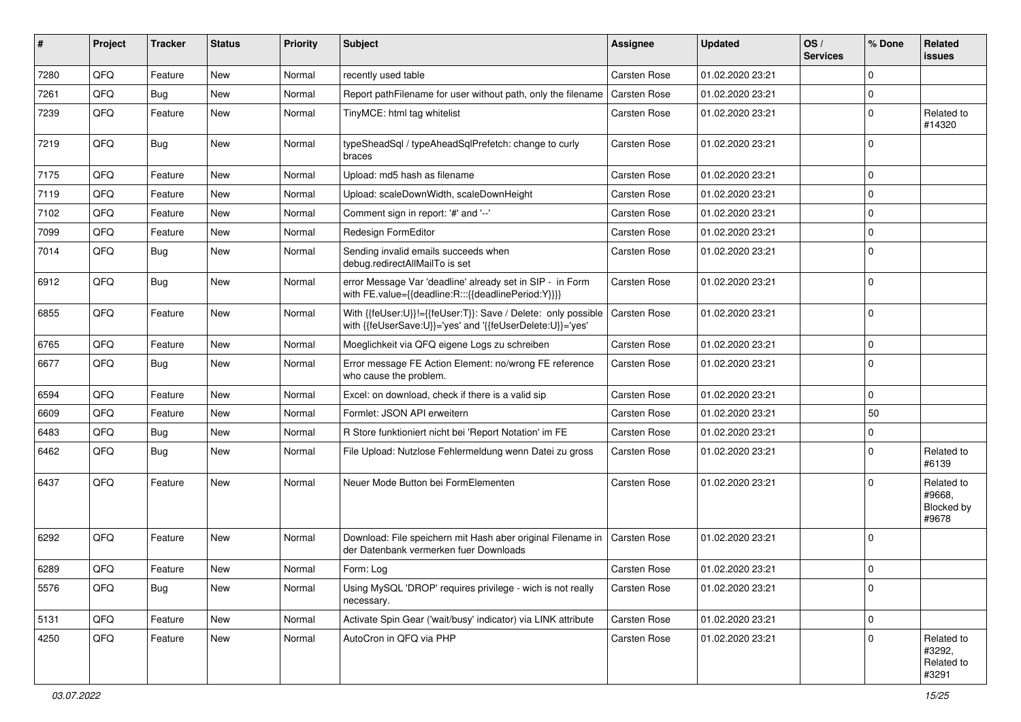| ∦    | Project | <b>Tracker</b> | <b>Status</b> | <b>Priority</b> | Subject                                                                                                                    | <b>Assignee</b>     | <b>Updated</b>   | OS/<br><b>Services</b> | % Done      | Related<br>issues                           |
|------|---------|----------------|---------------|-----------------|----------------------------------------------------------------------------------------------------------------------------|---------------------|------------------|------------------------|-------------|---------------------------------------------|
| 7280 | QFQ     | Feature        | <b>New</b>    | Normal          | recently used table                                                                                                        | <b>Carsten Rose</b> | 01.02.2020 23:21 |                        | 0           |                                             |
| 7261 | QFQ     | <b>Bug</b>     | New           | Normal          | Report pathFilename for user without path, only the filename                                                               | <b>Carsten Rose</b> | 01.02.2020 23:21 |                        | 0           |                                             |
| 7239 | QFQ     | Feature        | New           | Normal          | TinyMCE: html tag whitelist                                                                                                | Carsten Rose        | 01.02.2020 23:21 |                        | $\mathbf 0$ | Related to<br>#14320                        |
| 7219 | QFQ     | <b>Bug</b>     | <b>New</b>    | Normal          | typeSheadSql / typeAheadSqlPrefetch: change to curly<br>braces                                                             | <b>Carsten Rose</b> | 01.02.2020 23:21 |                        | $\Omega$    |                                             |
| 7175 | QFQ     | Feature        | <b>New</b>    | Normal          | Upload: md5 hash as filename                                                                                               | <b>Carsten Rose</b> | 01.02.2020 23:21 |                        | 0           |                                             |
| 7119 | QFQ     | Feature        | New           | Normal          | Upload: scaleDownWidth, scaleDownHeight                                                                                    | <b>Carsten Rose</b> | 01.02.2020 23:21 |                        | $\mathbf 0$ |                                             |
| 7102 | QFQ     | Feature        | New           | Normal          | Comment sign in report: '#' and '--'                                                                                       | Carsten Rose        | 01.02.2020 23:21 |                        | $\mathbf 0$ |                                             |
| 7099 | QFQ     | Feature        | New           | Normal          | Redesign FormEditor                                                                                                        | <b>Carsten Rose</b> | 01.02.2020 23:21 |                        | $\mathbf 0$ |                                             |
| 7014 | QFQ     | Bug            | New           | Normal          | Sending invalid emails succeeds when<br>debug.redirectAllMailTo is set                                                     | Carsten Rose        | 01.02.2020 23:21 |                        | $\mathbf 0$ |                                             |
| 6912 | QFQ     | <b>Bug</b>     | <b>New</b>    | Normal          | error Message Var 'deadline' already set in SIP - in Form<br>with FE.value={{deadline:R:::{{deadlinePeriod:Y}}}}           | <b>Carsten Rose</b> | 01.02.2020 23:21 |                        | $\Omega$    |                                             |
| 6855 | QFQ     | Feature        | <b>New</b>    | Normal          | With {{feUser:U}}!={{feUser:T}}: Save / Delete: only possible<br>with {{feUserSave:U}}='yes' and '{{feUserDelete:U}}='yes' | Carsten Rose        | 01.02.2020 23:21 |                        | 0           |                                             |
| 6765 | QFQ     | Feature        | <b>New</b>    | Normal          | Moeglichkeit via QFQ eigene Logs zu schreiben                                                                              | <b>Carsten Rose</b> | 01.02.2020 23:21 |                        | $\pmb{0}$   |                                             |
| 6677 | QFQ     | Bug            | New           | Normal          | Error message FE Action Element: no/wrong FE reference<br>who cause the problem.                                           | <b>Carsten Rose</b> | 01.02.2020 23:21 |                        | $\mathbf 0$ |                                             |
| 6594 | QFQ     | Feature        | <b>New</b>    | Normal          | Excel: on download, check if there is a valid sip                                                                          | <b>Carsten Rose</b> | 01.02.2020 23:21 |                        | 0           |                                             |
| 6609 | QFQ     | Feature        | New           | Normal          | Formlet: JSON API erweitern                                                                                                | Carsten Rose        | 01.02.2020 23:21 |                        | 50          |                                             |
| 6483 | QFQ     | <b>Bug</b>     | New           | Normal          | R Store funktioniert nicht bei 'Report Notation' im FE                                                                     | <b>Carsten Rose</b> | 01.02.2020 23:21 |                        | $\mathbf 0$ |                                             |
| 6462 | QFQ     | <b>Bug</b>     | <b>New</b>    | Normal          | File Upload: Nutzlose Fehlermeldung wenn Datei zu gross                                                                    | Carsten Rose        | 01.02.2020 23:21 |                        | 0           | Related to<br>#6139                         |
| 6437 | QFQ     | Feature        | New           | Normal          | Neuer Mode Button bei FormElementen                                                                                        | <b>Carsten Rose</b> | 01.02.2020 23:21 |                        | $\Omega$    | Related to<br>#9668.<br>Blocked by<br>#9678 |
| 6292 | QFQ     | Feature        | New           | Normal          | Download: File speichern mit Hash aber original Filename in<br>der Datenbank vermerken fuer Downloads                      | <b>Carsten Rose</b> | 01.02.2020 23:21 |                        | $\mathbf 0$ |                                             |
| 6289 | QFQ     | Feature        | New           | Normal          | Form: Log                                                                                                                  | Carsten Rose        | 01.02.2020 23:21 |                        | 0           |                                             |
| 5576 | QFQ     | <b>Bug</b>     | New           | Normal          | Using MySQL 'DROP' requires privilege - wich is not really<br>necessary.                                                   | Carsten Rose        | 01.02.2020 23:21 |                        | $\pmb{0}$   |                                             |
| 5131 | QFO     | Feature        | New           | Normal          | Activate Spin Gear ('wait/busy' indicator) via LINK attribute                                                              | Carsten Rose        | 01.02.2020 23:21 |                        | $\pmb{0}$   |                                             |
| 4250 | QFQ     | Feature        | New           | Normal          | AutoCron in QFQ via PHP                                                                                                    | Carsten Rose        | 01.02.2020 23:21 |                        | $\mathbf 0$ | Related to<br>#3292,<br>Related to<br>#3291 |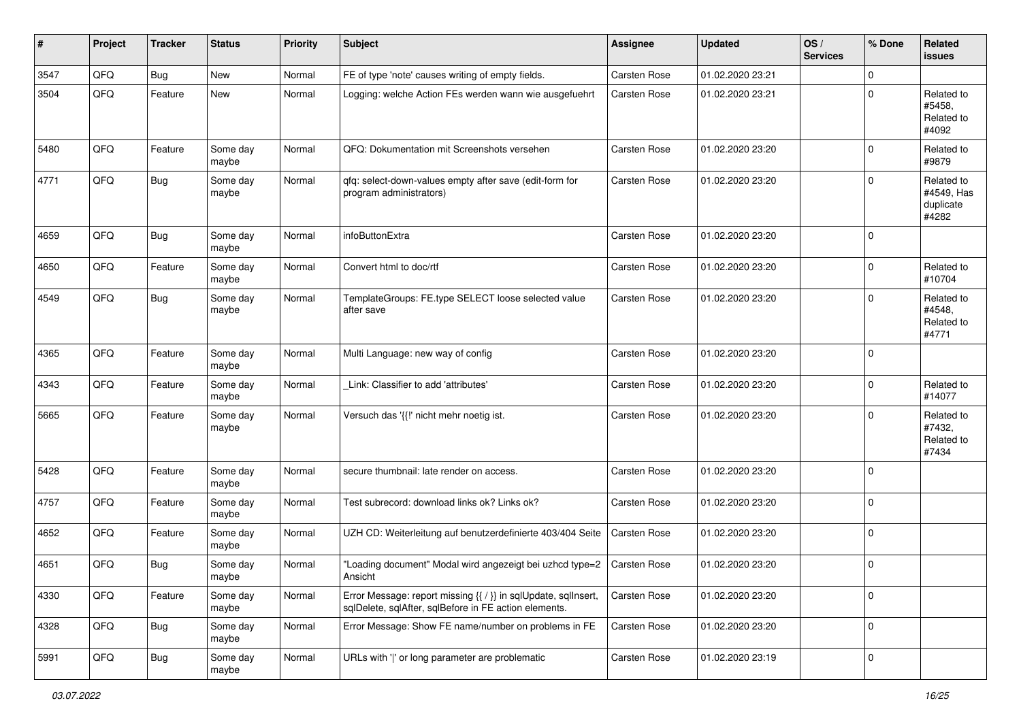| #    | Project | <b>Tracker</b> | <b>Status</b>     | <b>Priority</b> | <b>Subject</b>                                                                                                          | <b>Assignee</b>     | <b>Updated</b>   | OS/<br><b>Services</b> | % Done      | Related<br>issues                              |
|------|---------|----------------|-------------------|-----------------|-------------------------------------------------------------------------------------------------------------------------|---------------------|------------------|------------------------|-------------|------------------------------------------------|
| 3547 | QFQ     | Bug            | New               | Normal          | FE of type 'note' causes writing of empty fields.                                                                       | Carsten Rose        | 01.02.2020 23:21 |                        | 0           |                                                |
| 3504 | QFQ     | Feature        | New               | Normal          | Logging: welche Action FEs werden wann wie ausgefuehrt                                                                  | <b>Carsten Rose</b> | 01.02.2020 23:21 |                        | $\mathbf 0$ | Related to<br>#5458,<br>Related to<br>#4092    |
| 5480 | QFQ     | Feature        | Some day<br>maybe | Normal          | QFQ: Dokumentation mit Screenshots versehen                                                                             | <b>Carsten Rose</b> | 01.02.2020 23:20 |                        | $\mathbf 0$ | Related to<br>#9879                            |
| 4771 | QFQ     | <b>Bug</b>     | Some day<br>maybe | Normal          | qfq: select-down-values empty after save (edit-form for<br>program administrators)                                      | Carsten Rose        | 01.02.2020 23:20 |                        | $\mathbf 0$ | Related to<br>#4549, Has<br>duplicate<br>#4282 |
| 4659 | QFQ     | Bug            | Some day<br>maybe | Normal          | infoButtonExtra                                                                                                         | <b>Carsten Rose</b> | 01.02.2020 23:20 |                        | $\mathbf 0$ |                                                |
| 4650 | QFQ     | Feature        | Some day<br>maybe | Normal          | Convert html to doc/rtf                                                                                                 | Carsten Rose        | 01.02.2020 23:20 |                        | 0           | Related to<br>#10704                           |
| 4549 | QFQ     | Bug            | Some day<br>maybe | Normal          | TemplateGroups: FE.type SELECT loose selected value<br>after save                                                       | Carsten Rose        | 01.02.2020 23:20 |                        | $\Omega$    | Related to<br>#4548,<br>Related to<br>#4771    |
| 4365 | QFQ     | Feature        | Some day<br>maybe | Normal          | Multi Language: new way of config                                                                                       | Carsten Rose        | 01.02.2020 23:20 |                        | $\mathbf 0$ |                                                |
| 4343 | QFQ     | Feature        | Some day<br>maybe | Normal          | Link: Classifier to add 'attributes'                                                                                    | <b>Carsten Rose</b> | 01.02.2020 23:20 |                        | 0           | Related to<br>#14077                           |
| 5665 | QFQ     | Feature        | Some day<br>maybe | Normal          | Versuch das '{{!' nicht mehr noetig ist.                                                                                | <b>Carsten Rose</b> | 01.02.2020 23:20 |                        | 0           | Related to<br>#7432,<br>Related to<br>#7434    |
| 5428 | QFQ     | Feature        | Some day<br>maybe | Normal          | secure thumbnail: late render on access.                                                                                | Carsten Rose        | 01.02.2020 23:20 |                        | $\mathbf 0$ |                                                |
| 4757 | QFQ     | Feature        | Some day<br>maybe | Normal          | Test subrecord: download links ok? Links ok?                                                                            | Carsten Rose        | 01.02.2020 23:20 |                        | $\mathbf 0$ |                                                |
| 4652 | QFQ     | Feature        | Some day<br>maybe | Normal          | UZH CD: Weiterleitung auf benutzerdefinierte 403/404 Seite                                                              | <b>Carsten Rose</b> | 01.02.2020 23:20 |                        | $\mathbf 0$ |                                                |
| 4651 | QFQ     | Bug            | Some day<br>maybe | Normal          | "Loading document" Modal wird angezeigt bei uzhcd type=2<br>Ansicht                                                     | Carsten Rose        | 01.02.2020 23:20 |                        | $\pmb{0}$   |                                                |
| 4330 | QFQ     | Feature        | Some day<br>maybe | Normal          | Error Message: report missing {{ / }} in sqlUpdate, sqlInsert,<br>sqlDelete, sqlAfter, sqlBefore in FE action elements. | Carsten Rose        | 01.02.2020 23:20 |                        | $\mathbf 0$ |                                                |
| 4328 | QFQ     | Bug            | Some day<br>maybe | Normal          | Error Message: Show FE name/number on problems in FE                                                                    | Carsten Rose        | 01.02.2020 23:20 |                        | $\mathbf 0$ |                                                |
| 5991 | QFQ     | Bug            | Some day<br>maybe | Normal          | URLs with ' ' or long parameter are problematic                                                                         | Carsten Rose        | 01.02.2020 23:19 |                        | $\pmb{0}$   |                                                |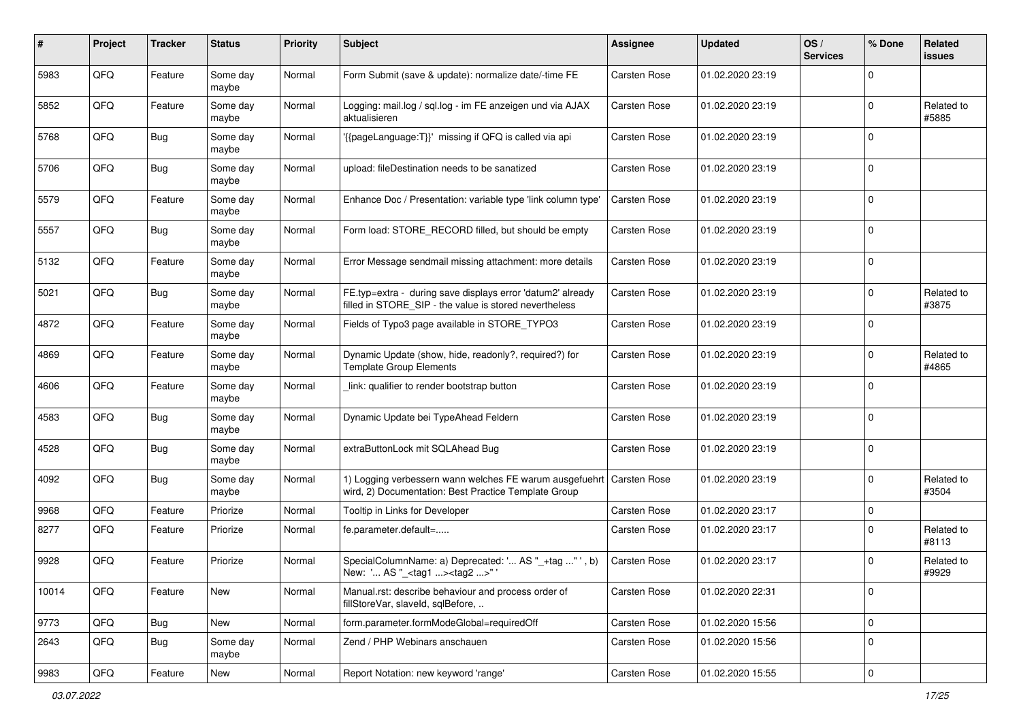| ∦     | Project | <b>Tracker</b> | <b>Status</b>     | <b>Priority</b> | Subject                                                                                                                        | <b>Assignee</b>     | <b>Updated</b>   | OS/<br><b>Services</b> | % Done      | Related<br>issues   |
|-------|---------|----------------|-------------------|-----------------|--------------------------------------------------------------------------------------------------------------------------------|---------------------|------------------|------------------------|-------------|---------------------|
| 5983  | QFQ     | Feature        | Some day<br>maybe | Normal          | Form Submit (save & update): normalize date/-time FE                                                                           | Carsten Rose        | 01.02.2020 23:19 |                        | $\Omega$    |                     |
| 5852  | QFQ     | Feature        | Some day<br>maybe | Normal          | Logging: mail.log / sgl.log - im FE anzeigen und via AJAX<br>aktualisieren                                                     | Carsten Rose        | 01.02.2020 23:19 |                        | $\Omega$    | Related to<br>#5885 |
| 5768  | QFQ     | <b>Bug</b>     | Some day<br>maybe | Normal          | '{{pageLanguage:T}}' missing if QFQ is called via api                                                                          | Carsten Rose        | 01.02.2020 23:19 |                        | $\Omega$    |                     |
| 5706  | QFQ     | <b>Bug</b>     | Some day<br>maybe | Normal          | upload: fileDestination needs to be sanatized                                                                                  | Carsten Rose        | 01.02.2020 23:19 |                        | $\Omega$    |                     |
| 5579  | QFQ     | Feature        | Some day<br>maybe | Normal          | Enhance Doc / Presentation: variable type 'link column type'                                                                   | Carsten Rose        | 01.02.2020 23:19 |                        | $\Omega$    |                     |
| 5557  | QFQ     | Bug            | Some day<br>maybe | Normal          | Form load: STORE_RECORD filled, but should be empty                                                                            | Carsten Rose        | 01.02.2020 23:19 |                        | $\Omega$    |                     |
| 5132  | QFQ     | Feature        | Some day<br>maybe | Normal          | Error Message sendmail missing attachment: more details                                                                        | Carsten Rose        | 01.02.2020 23:19 |                        | $\Omega$    |                     |
| 5021  | QFQ     | <b>Bug</b>     | Some day<br>maybe | Normal          | FE.typ=extra - during save displays error 'datum2' already<br>filled in STORE_SIP - the value is stored nevertheless           | <b>Carsten Rose</b> | 01.02.2020 23:19 |                        | $\Omega$    | Related to<br>#3875 |
| 4872  | QFQ     | Feature        | Some day<br>maybe | Normal          | Fields of Typo3 page available in STORE TYPO3                                                                                  | Carsten Rose        | 01.02.2020 23:19 |                        | $\Omega$    |                     |
| 4869  | QFQ     | Feature        | Some day<br>maybe | Normal          | Dynamic Update (show, hide, readonly?, required?) for<br><b>Template Group Elements</b>                                        | Carsten Rose        | 01.02.2020 23:19 |                        | $\Omega$    | Related to<br>#4865 |
| 4606  | QFQ     | Feature        | Some day<br>maybe | Normal          | link: qualifier to render bootstrap button                                                                                     | Carsten Rose        | 01.02.2020 23:19 |                        | $\Omega$    |                     |
| 4583  | QFQ     | Bug            | Some day<br>maybe | Normal          | Dynamic Update bei TypeAhead Feldern                                                                                           | Carsten Rose        | 01.02.2020 23:19 |                        | $\Omega$    |                     |
| 4528  | QFQ     | <b>Bug</b>     | Some day<br>maybe | Normal          | extraButtonLock mit SQLAhead Bug                                                                                               | Carsten Rose        | 01.02.2020 23:19 |                        | $\Omega$    |                     |
| 4092  | QFQ     | <b>Bug</b>     | Some day<br>maybe | Normal          | 1) Logging verbessern wann welches FE warum ausgefuehrt   Carsten Rose<br>wird, 2) Documentation: Best Practice Template Group |                     | 01.02.2020 23:19 |                        | $\Omega$    | Related to<br>#3504 |
| 9968  | QFQ     | Feature        | Priorize          | Normal          | Tooltip in Links for Developer                                                                                                 | <b>Carsten Rose</b> | 01.02.2020 23:17 |                        | $\Omega$    |                     |
| 8277  | QFQ     | Feature        | Priorize          | Normal          | fe.parameter.default=                                                                                                          | Carsten Rose        | 01.02.2020 23:17 |                        | $\Omega$    | Related to<br>#8113 |
| 9928  | QFQ     | Feature        | Priorize          | Normal          | SpecialColumnName: a) Deprecated: ' AS "_+tag " ', b)<br>New: ' AS "_ <tag1><tag2>"</tag2></tag1>                              | Carsten Rose        | 01.02.2020 23:17 |                        | $\Omega$    | Related to<br>#9929 |
| 10014 | QFQ     | Feature        | New               | Normal          | Manual.rst: describe behaviour and process order of<br>fillStoreVar, slaveId, sqlBefore,                                       | Carsten Rose        | 01.02.2020 22:31 |                        | $\pmb{0}$   |                     |
| 9773  | QFO     | <b>Bug</b>     | New               | Normal          | form.parameter.formModeGlobal=requiredOff                                                                                      | Carsten Rose        | 01.02.2020 15:56 |                        | $\mathbf 0$ |                     |
| 2643  | QFQ     | <b>Bug</b>     | Some day<br>maybe | Normal          | Zend / PHP Webinars anschauen                                                                                                  | Carsten Rose        | 01.02.2020 15:56 |                        | $\mathbf 0$ |                     |
| 9983  | QFQ     | Feature        | New               | Normal          | Report Notation: new keyword 'range'                                                                                           | Carsten Rose        | 01.02.2020 15:55 |                        | $\pmb{0}$   |                     |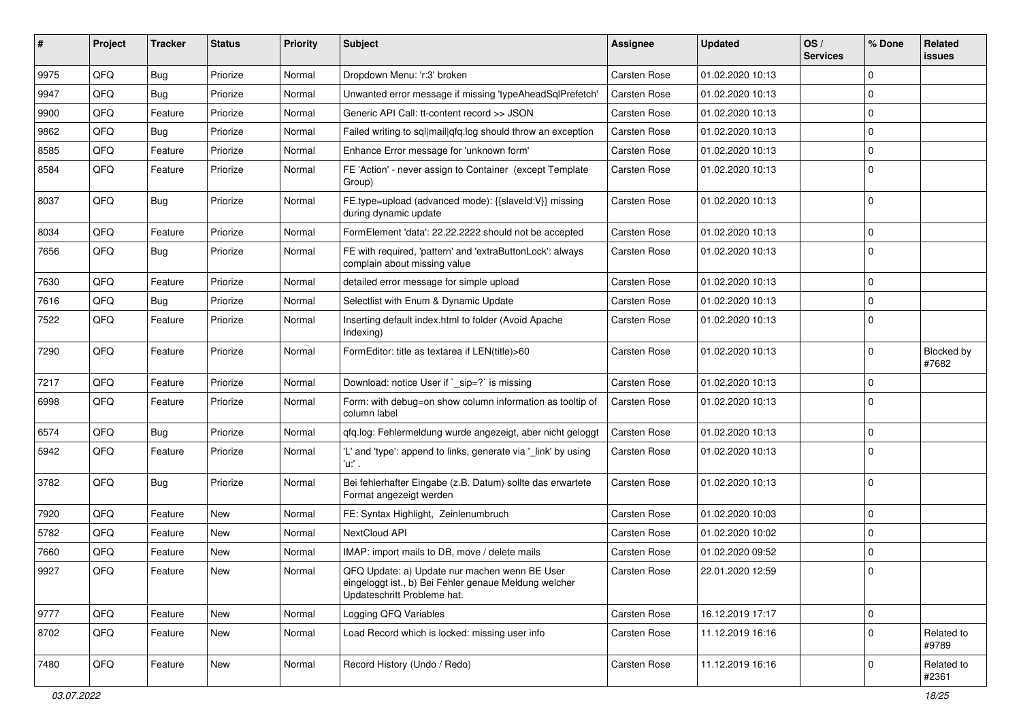| #    | Project | <b>Tracker</b> | <b>Status</b> | <b>Priority</b> | Subject                                                                                                                               | <b>Assignee</b>     | <b>Updated</b>   | OS/<br><b>Services</b> | % Done         | Related<br><b>issues</b> |
|------|---------|----------------|---------------|-----------------|---------------------------------------------------------------------------------------------------------------------------------------|---------------------|------------------|------------------------|----------------|--------------------------|
| 9975 | QFQ     | <b>Bug</b>     | Priorize      | Normal          | Dropdown Menu: 'r:3' broken                                                                                                           | Carsten Rose        | 01.02.2020 10:13 |                        | $\mathbf 0$    |                          |
| 9947 | QFQ     | Bug            | Priorize      | Normal          | Unwanted error message if missing 'typeAheadSqlPrefetch'                                                                              | Carsten Rose        | 01.02.2020 10:13 |                        | $\mathbf 0$    |                          |
| 9900 | QFQ     | Feature        | Priorize      | Normal          | Generic API Call: tt-content record >> JSON                                                                                           | Carsten Rose        | 01.02.2020 10:13 |                        | $\mathbf 0$    |                          |
| 9862 | QFQ     | Bug            | Priorize      | Normal          | Failed writing to sql mail qfq.log should throw an exception                                                                          | Carsten Rose        | 01.02.2020 10:13 |                        | $\mathbf 0$    |                          |
| 8585 | QFQ     | Feature        | Priorize      | Normal          | Enhance Error message for 'unknown form'                                                                                              | Carsten Rose        | 01.02.2020 10:13 |                        | 0              |                          |
| 8584 | QFQ     | Feature        | Priorize      | Normal          | FE 'Action' - never assign to Container (except Template<br>Group)                                                                    | Carsten Rose        | 01.02.2020 10:13 |                        | $\Omega$       |                          |
| 8037 | QFQ     | Bug            | Priorize      | Normal          | FE.type=upload (advanced mode): {{slaveId:V}} missing<br>during dynamic update                                                        | Carsten Rose        | 01.02.2020 10:13 |                        | $\Omega$       |                          |
| 8034 | QFQ     | Feature        | Priorize      | Normal          | FormElement 'data': 22.22.2222 should not be accepted                                                                                 | Carsten Rose        | 01.02.2020 10:13 |                        | $\mathbf 0$    |                          |
| 7656 | QFQ     | Bug            | Priorize      | Normal          | FE with required, 'pattern' and 'extraButtonLock': always<br>complain about missing value                                             | Carsten Rose        | 01.02.2020 10:13 |                        | $\mathbf 0$    |                          |
| 7630 | QFQ     | Feature        | Priorize      | Normal          | detailed error message for simple upload                                                                                              | Carsten Rose        | 01.02.2020 10:13 |                        | $\mathbf 0$    |                          |
| 7616 | QFQ     | <b>Bug</b>     | Priorize      | Normal          | Selectlist with Enum & Dynamic Update                                                                                                 | Carsten Rose        | 01.02.2020 10:13 |                        | $\mathbf 0$    |                          |
| 7522 | QFQ     | Feature        | Priorize      | Normal          | Inserting default index.html to folder (Avoid Apache<br>Indexing)                                                                     | Carsten Rose        | 01.02.2020 10:13 |                        | $\mathbf 0$    |                          |
| 7290 | QFQ     | Feature        | Priorize      | Normal          | FormEditor: title as textarea if LEN(title)>60                                                                                        | Carsten Rose        | 01.02.2020 10:13 |                        | $\mathbf 0$    | Blocked by<br>#7682      |
| 7217 | QFQ     | Feature        | Priorize      | Normal          | Download: notice User if `_sip=?` is missing                                                                                          | <b>Carsten Rose</b> | 01.02.2020 10:13 |                        | $\mathbf 0$    |                          |
| 6998 | QFQ     | Feature        | Priorize      | Normal          | Form: with debug=on show column information as tooltip of<br>column label                                                             | Carsten Rose        | 01.02.2020 10:13 |                        | $\Omega$       |                          |
| 6574 | QFQ     | <b>Bug</b>     | Priorize      | Normal          | qfq.log: Fehlermeldung wurde angezeigt, aber nicht geloggt                                                                            | Carsten Rose        | 01.02.2020 10:13 |                        | $\mathbf 0$    |                          |
| 5942 | QFQ     | Feature        | Priorize      | Normal          | 'L' and 'type': append to links, generate via '_link' by using<br>'u:' .                                                              | Carsten Rose        | 01.02.2020 10:13 |                        | $\mathbf 0$    |                          |
| 3782 | QFQ     | Bug            | Priorize      | Normal          | Bei fehlerhafter Eingabe (z.B. Datum) sollte das erwartete<br>Format angezeigt werden                                                 | Carsten Rose        | 01.02.2020 10:13 |                        | $\mathbf 0$    |                          |
| 7920 | QFQ     | Feature        | New           | Normal          | FE: Syntax Highlight, Zeinlenumbruch                                                                                                  | Carsten Rose        | 01.02.2020 10:03 |                        | $\mathbf 0$    |                          |
| 5782 | QFQ     | Feature        | <b>New</b>    | Normal          | NextCloud API                                                                                                                         | Carsten Rose        | 01.02.2020 10:02 |                        | $\mathbf 0$    |                          |
| 7660 | QFQ     | Feature        | New           | Normal          | IMAP: import mails to DB, move / delete mails                                                                                         | Carsten Rose        | 01.02.2020 09:52 |                        | $\mathbf 0$    |                          |
| 9927 | QFQ     | Feature        | New           | Normal          | QFQ Update: a) Update nur machen wenn BE User<br>eingeloggt ist., b) Bei Fehler genaue Meldung welcher<br>Updateschritt Probleme hat. | Carsten Rose        | 22.01.2020 12:59 |                        | $\overline{0}$ |                          |
| 9777 | QFQ     | Feature        | New           | Normal          | Logging QFQ Variables                                                                                                                 | Carsten Rose        | 16.12.2019 17:17 |                        | $\pmb{0}$      |                          |
| 8702 | QFQ     | Feature        | New           | Normal          | Load Record which is locked: missing user info                                                                                        | Carsten Rose        | 11.12.2019 16:16 |                        | $\mathbf 0$    | Related to<br>#9789      |
| 7480 | QFQ     | Feature        | New           | Normal          | Record History (Undo / Redo)                                                                                                          | Carsten Rose        | 11.12.2019 16:16 |                        | $\overline{0}$ | Related to<br>#2361      |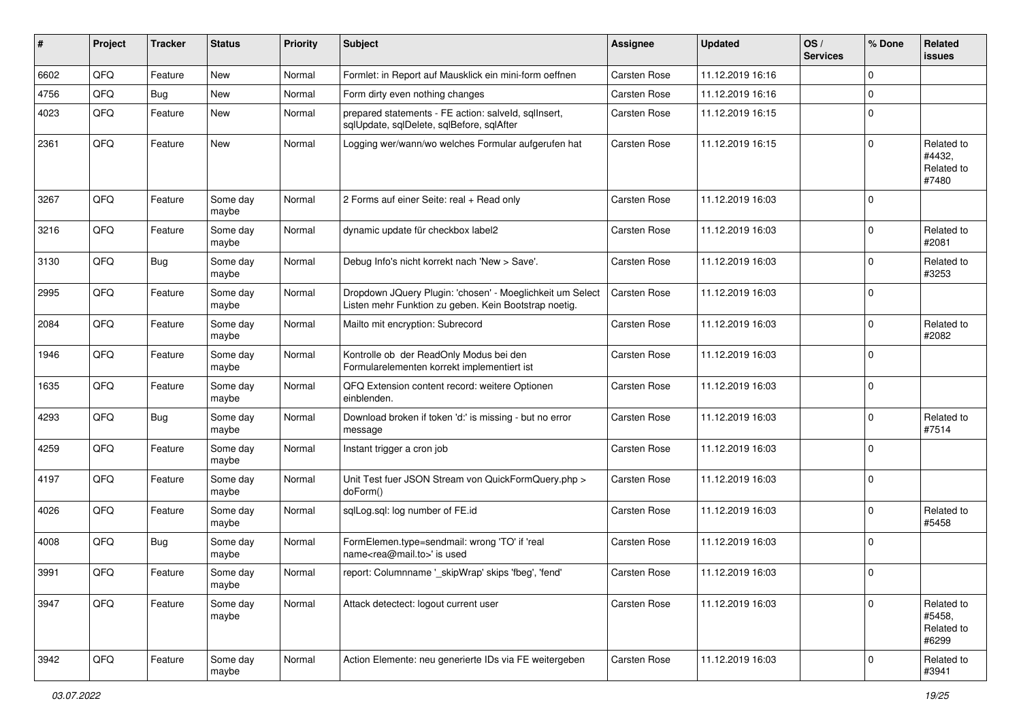| ∦    | Project | <b>Tracker</b> | <b>Status</b>     | <b>Priority</b> | <b>Subject</b>                                                                                                     | <b>Assignee</b>     | <b>Updated</b>   | OS/<br><b>Services</b> | % Done       | <b>Related</b><br>issues                    |
|------|---------|----------------|-------------------|-----------------|--------------------------------------------------------------------------------------------------------------------|---------------------|------------------|------------------------|--------------|---------------------------------------------|
| 6602 | QFQ     | Feature        | New               | Normal          | Formlet: in Report auf Mausklick ein mini-form oeffnen                                                             | <b>Carsten Rose</b> | 11.12.2019 16:16 |                        | $\Omega$     |                                             |
| 4756 | QFQ     | <b>Bug</b>     | New               | Normal          | Form dirty even nothing changes                                                                                    | Carsten Rose        | 11.12.2019 16:16 |                        | $\mathbf 0$  |                                             |
| 4023 | QFQ     | Feature        | <b>New</b>        | Normal          | prepared statements - FE action: salveld, sqllnsert,<br>sqlUpdate, sqlDelete, sqlBefore, sqlAfter                  | Carsten Rose        | 11.12.2019 16:15 |                        | $\mathbf 0$  |                                             |
| 2361 | QFQ     | Feature        | New               | Normal          | Logging wer/wann/wo welches Formular aufgerufen hat                                                                | <b>Carsten Rose</b> | 11.12.2019 16:15 |                        | $\mathbf 0$  | Related to<br>#4432,<br>Related to<br>#7480 |
| 3267 | QFQ     | Feature        | Some day<br>maybe | Normal          | 2 Forms auf einer Seite: real + Read only                                                                          | <b>Carsten Rose</b> | 11.12.2019 16:03 |                        | $\Omega$     |                                             |
| 3216 | QFQ     | Feature        | Some day<br>maybe | Normal          | dynamic update für checkbox label2                                                                                 | Carsten Rose        | 11.12.2019 16:03 |                        | $\Omega$     | Related to<br>#2081                         |
| 3130 | QFQ     | Bug            | Some day<br>maybe | Normal          | Debug Info's nicht korrekt nach 'New > Save'.                                                                      | <b>Carsten Rose</b> | 11.12.2019 16:03 |                        | $\mathbf 0$  | Related to<br>#3253                         |
| 2995 | QFQ     | Feature        | Some day<br>maybe | Normal          | Dropdown JQuery Plugin: 'chosen' - Moeglichkeit um Select<br>Listen mehr Funktion zu geben. Kein Bootstrap noetig. | Carsten Rose        | 11.12.2019 16:03 |                        | $\mathbf 0$  |                                             |
| 2084 | QFQ     | Feature        | Some day<br>maybe | Normal          | Mailto mit encryption: Subrecord                                                                                   | <b>Carsten Rose</b> | 11.12.2019 16:03 |                        | $\mathbf 0$  | Related to<br>#2082                         |
| 1946 | QFQ     | Feature        | Some day<br>maybe | Normal          | Kontrolle ob der ReadOnly Modus bei den<br>Formularelementen korrekt implementiert ist                             | Carsten Rose        | 11.12.2019 16:03 |                        | $\mathbf 0$  |                                             |
| 1635 | QFQ     | Feature        | Some day<br>maybe | Normal          | QFQ Extension content record: weitere Optionen<br>einblenden.                                                      | Carsten Rose        | 11.12.2019 16:03 |                        | $\mathbf 0$  |                                             |
| 4293 | QFQ     | <b>Bug</b>     | Some day<br>maybe | Normal          | Download broken if token 'd:' is missing - but no error<br>message                                                 | Carsten Rose        | 11.12.2019 16:03 |                        | $\mathbf 0$  | Related to<br>#7514                         |
| 4259 | QFQ     | Feature        | Some day<br>maybe | Normal          | Instant trigger a cron job                                                                                         | Carsten Rose        | 11.12.2019 16:03 |                        | $\mathbf 0$  |                                             |
| 4197 | QFQ     | Feature        | Some day<br>maybe | Normal          | Unit Test fuer JSON Stream von QuickFormQuery.php ><br>doForm()                                                    | <b>Carsten Rose</b> | 11.12.2019 16:03 |                        | $\mathbf 0$  |                                             |
| 4026 | QFQ     | Feature        | Some day<br>maybe | Normal          | sqlLog.sql: log number of FE.id                                                                                    | <b>Carsten Rose</b> | 11.12.2019 16:03 |                        | $\mathbf 0$  | Related to<br>#5458                         |
| 4008 | QFQ     | Bug            | Some day<br>maybe | Normal          | FormElemen.type=sendmail: wrong 'TO' if 'real<br>name <rea@mail.to>' is used</rea@mail.to>                         | Carsten Rose        | 11.12.2019 16:03 |                        | $\mathbf 0$  |                                             |
| 3991 | QFQ     | Feature        | Some day<br>maybe | Normal          | report: Columnname ' skipWrap' skips 'fbeg', 'fend'                                                                | <b>Carsten Rose</b> | 11.12.2019 16:03 |                        | $\mathbf 0$  |                                             |
| 3947 | QFQ     | Feature        | Some day<br>maybe | Normal          | Attack detectect: logout current user                                                                              | Carsten Rose        | 11.12.2019 16:03 |                        | $\mathbf 0$  | Related to<br>#5458,<br>Related to<br>#6299 |
| 3942 | QFQ     | Feature        | Some day<br>maybe | Normal          | Action Elemente: neu generierte IDs via FE weitergeben                                                             | Carsten Rose        | 11.12.2019 16:03 |                        | $\mathbf{0}$ | Related to<br>#3941                         |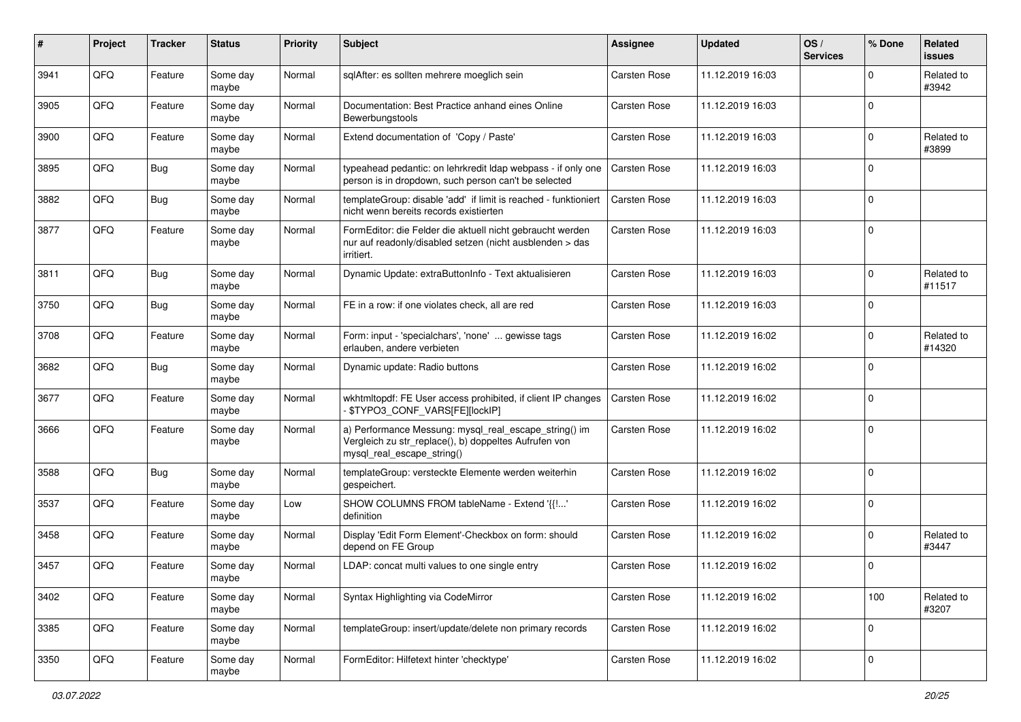| $\vert$ # | Project | <b>Tracker</b> | <b>Status</b>     | <b>Priority</b> | Subject                                                                                                                                      | <b>Assignee</b>     | <b>Updated</b>   | OS/<br><b>Services</b> | % Done      | Related<br>issues    |
|-----------|---------|----------------|-------------------|-----------------|----------------------------------------------------------------------------------------------------------------------------------------------|---------------------|------------------|------------------------|-------------|----------------------|
| 3941      | QFQ     | Feature        | Some day<br>maybe | Normal          | sqlAfter: es sollten mehrere moeglich sein                                                                                                   | <b>Carsten Rose</b> | 11.12.2019 16:03 |                        | $\mathbf 0$ | Related to<br>#3942  |
| 3905      | QFQ     | Feature        | Some day<br>maybe | Normal          | Documentation: Best Practice anhand eines Online<br>Bewerbungstools                                                                          | Carsten Rose        | 11.12.2019 16:03 |                        | $\mathbf 0$ |                      |
| 3900      | QFQ     | Feature        | Some day<br>maybe | Normal          | Extend documentation of 'Copy / Paste'                                                                                                       | <b>Carsten Rose</b> | 11.12.2019 16:03 |                        | 0           | Related to<br>#3899  |
| 3895      | QFQ     | <b>Bug</b>     | Some day<br>maybe | Normal          | typeahead pedantic: on lehrkredit Idap webpass - if only one<br>person is in dropdown, such person can't be selected                         | Carsten Rose        | 11.12.2019 16:03 |                        | $\mathbf 0$ |                      |
| 3882      | QFQ     | <b>Bug</b>     | Some day<br>maybe | Normal          | templateGroup: disable 'add' if limit is reached - funktioniert<br>nicht wenn bereits records existierten                                    | Carsten Rose        | 11.12.2019 16:03 |                        | $\mathbf 0$ |                      |
| 3877      | QFQ     | Feature        | Some day<br>maybe | Normal          | FormEditor: die Felder die aktuell nicht gebraucht werden<br>nur auf readonly/disabled setzen (nicht ausblenden > das<br>irritiert.          | Carsten Rose        | 11.12.2019 16:03 |                        | $\mathbf 0$ |                      |
| 3811      | QFQ     | <b>Bug</b>     | Some day<br>maybe | Normal          | Dynamic Update: extraButtonInfo - Text aktualisieren                                                                                         | <b>Carsten Rose</b> | 11.12.2019 16:03 |                        | $\mathbf 0$ | Related to<br>#11517 |
| 3750      | QFQ     | <b>Bug</b>     | Some day<br>maybe | Normal          | FE in a row: if one violates check, all are red                                                                                              | <b>Carsten Rose</b> | 11.12.2019 16:03 |                        | $\mathbf 0$ |                      |
| 3708      | QFQ     | Feature        | Some day<br>maybe | Normal          | Form: input - 'specialchars', 'none'  gewisse tags<br>erlauben, andere verbieten                                                             | <b>Carsten Rose</b> | 11.12.2019 16:02 |                        | $\mathbf 0$ | Related to<br>#14320 |
| 3682      | QFQ     | <b>Bug</b>     | Some day<br>maybe | Normal          | Dynamic update: Radio buttons                                                                                                                | <b>Carsten Rose</b> | 11.12.2019 16:02 |                        | $\mathbf 0$ |                      |
| 3677      | QFQ     | Feature        | Some day<br>maybe | Normal          | wkhtmltopdf: FE User access prohibited, if client IP changes<br>\$TYPO3_CONF_VARS[FE][lockIP]                                                | Carsten Rose        | 11.12.2019 16:02 |                        | 0           |                      |
| 3666      | QFQ     | Feature        | Some day<br>maybe | Normal          | a) Performance Messung: mysql_real_escape_string() im<br>Vergleich zu str_replace(), b) doppeltes Aufrufen von<br>mysql_real_escape_string() | Carsten Rose        | 11.12.2019 16:02 |                        | $\mathbf 0$ |                      |
| 3588      | QFQ     | <b>Bug</b>     | Some day<br>maybe | Normal          | templateGroup: versteckte Elemente werden weiterhin<br>gespeichert.                                                                          | <b>Carsten Rose</b> | 11.12.2019 16:02 |                        | $\mathbf 0$ |                      |
| 3537      | QFQ     | Feature        | Some day<br>maybe | Low             | SHOW COLUMNS FROM tableName - Extend '{{!'<br>definition                                                                                     | Carsten Rose        | 11.12.2019 16:02 |                        | 0           |                      |
| 3458      | QFQ     | Feature        | Some day<br>maybe | Normal          | Display 'Edit Form Element'-Checkbox on form: should<br>depend on FE Group                                                                   | <b>Carsten Rose</b> | 11.12.2019 16:02 |                        | $\mathbf 0$ | Related to<br>#3447  |
| 3457      | QFQ     | Feature        | Some day<br>maybe | Normal          | LDAP: concat multi values to one single entry                                                                                                | Carsten Rose        | 11.12.2019 16:02 |                        | $\mathbf 0$ |                      |
| 3402      | QFQ     | Feature        | Some day<br>maybe | Normal          | Syntax Highlighting via CodeMirror                                                                                                           | Carsten Rose        | 11.12.2019 16:02 |                        | 100         | Related to<br>#3207  |
| 3385      | QFO     | Feature        | Some day<br>maybe | Normal          | templateGroup: insert/update/delete non primary records                                                                                      | Carsten Rose        | 11.12.2019 16:02 |                        | $\mathbf 0$ |                      |
| 3350      | QFO     | Feature        | Some day<br>maybe | Normal          | FormEditor: Hilfetext hinter 'checktype'                                                                                                     | Carsten Rose        | 11.12.2019 16:02 |                        | $\pmb{0}$   |                      |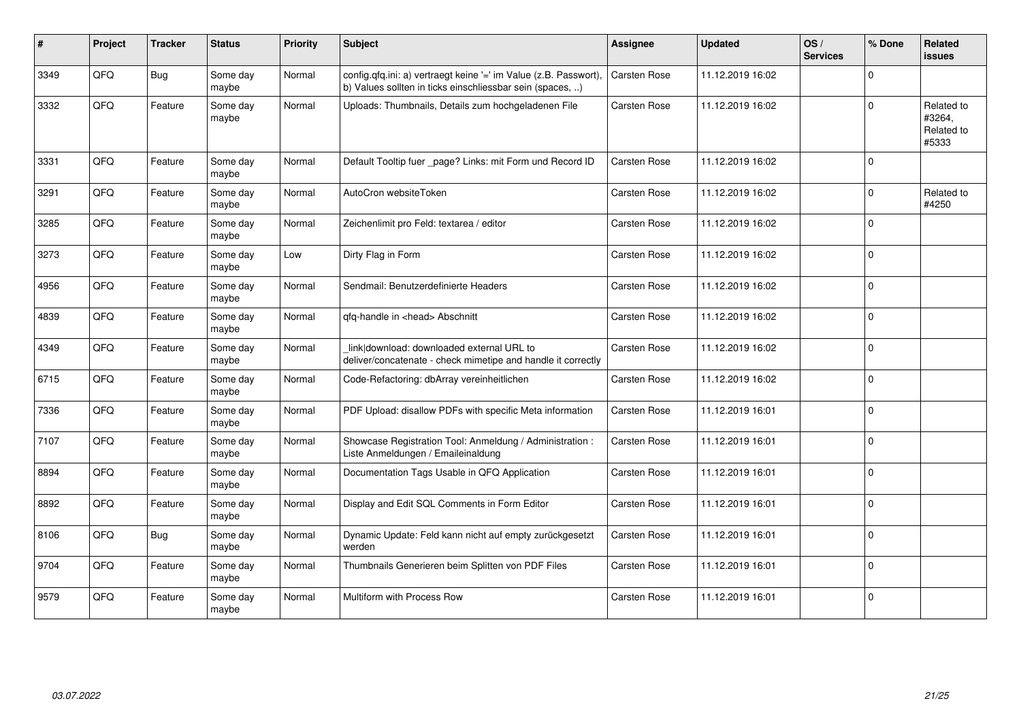| #    | Project | <b>Tracker</b> | <b>Status</b>     | <b>Priority</b> | <b>Subject</b>                                                                                                                | <b>Assignee</b>     | <b>Updated</b>   | OS/<br><b>Services</b> | % Done      | Related<br><b>issues</b>                    |
|------|---------|----------------|-------------------|-----------------|-------------------------------------------------------------------------------------------------------------------------------|---------------------|------------------|------------------------|-------------|---------------------------------------------|
| 3349 | QFQ     | Bug            | Some day<br>maybe | Normal          | config.qfq.ini: a) vertraegt keine '=' im Value (z.B. Passwort),<br>b) Values sollten in ticks einschliessbar sein (spaces, ) | Carsten Rose        | 11.12.2019 16:02 |                        | $\mathbf 0$ |                                             |
| 3332 | QFQ     | Feature        | Some day<br>maybe | Normal          | Uploads: Thumbnails, Details zum hochgeladenen File                                                                           | Carsten Rose        | 11.12.2019 16:02 |                        | $\pmb{0}$   | Related to<br>#3264,<br>Related to<br>#5333 |
| 3331 | QFQ     | Feature        | Some day<br>maybe | Normal          | Default Tooltip fuer _page? Links: mit Form und Record ID                                                                     | Carsten Rose        | 11.12.2019 16:02 |                        | $\mathbf 0$ |                                             |
| 3291 | QFQ     | Feature        | Some day<br>maybe | Normal          | AutoCron websiteToken                                                                                                         | Carsten Rose        | 11.12.2019 16:02 |                        | $\mathbf 0$ | Related to<br>#4250                         |
| 3285 | QFQ     | Feature        | Some day<br>maybe | Normal          | Zeichenlimit pro Feld: textarea / editor                                                                                      | Carsten Rose        | 11.12.2019 16:02 |                        | $\mathbf 0$ |                                             |
| 3273 | QFQ     | Feature        | Some day<br>maybe | Low             | Dirty Flag in Form                                                                                                            | Carsten Rose        | 11.12.2019 16:02 |                        | $\mathbf 0$ |                                             |
| 4956 | QFQ     | Feature        | Some day<br>maybe | Normal          | Sendmail: Benutzerdefinierte Headers                                                                                          | Carsten Rose        | 11.12.2019 16:02 |                        | $\pmb{0}$   |                                             |
| 4839 | QFQ     | Feature        | Some day<br>maybe | Normal          | qfq-handle in <head> Abschnitt</head>                                                                                         | Carsten Rose        | 11.12.2019 16:02 |                        | $\mathbf 0$ |                                             |
| 4349 | QFQ     | Feature        | Some day<br>maybe | Normal          | link download: downloaded external URL to<br>deliver/concatenate - check mimetipe and handle it correctly                     | Carsten Rose        | 11.12.2019 16:02 |                        | $\Omega$    |                                             |
| 6715 | QFQ     | Feature        | Some day<br>maybe | Normal          | Code-Refactoring: dbArray vereinheitlichen                                                                                    | Carsten Rose        | 11.12.2019 16:02 |                        | $\Omega$    |                                             |
| 7336 | QFQ     | Feature        | Some day<br>maybe | Normal          | PDF Upload: disallow PDFs with specific Meta information                                                                      | Carsten Rose        | 11.12.2019 16:01 |                        | $\Omega$    |                                             |
| 7107 | QFQ     | Feature        | Some day<br>maybe | Normal          | Showcase Registration Tool: Anmeldung / Administration :<br>Liste Anmeldungen / Emaileinaldung                                | Carsten Rose        | 11.12.2019 16:01 |                        | $\mathbf 0$ |                                             |
| 8894 | QFQ     | Feature        | Some day<br>maybe | Normal          | Documentation Tags Usable in QFQ Application                                                                                  | Carsten Rose        | 11.12.2019 16:01 |                        | $\mathbf 0$ |                                             |
| 8892 | QFQ     | Feature        | Some day<br>maybe | Normal          | Display and Edit SQL Comments in Form Editor                                                                                  | <b>Carsten Rose</b> | 11.12.2019 16:01 |                        | $\mathbf 0$ |                                             |
| 8106 | QFQ     | Bug            | Some day<br>maybe | Normal          | Dynamic Update: Feld kann nicht auf empty zurückgesetzt<br>werden                                                             | <b>Carsten Rose</b> | 11.12.2019 16:01 |                        | $\mathbf 0$ |                                             |
| 9704 | QFQ     | Feature        | Some day<br>maybe | Normal          | Thumbnails Generieren beim Splitten von PDF Files                                                                             | Carsten Rose        | 11.12.2019 16:01 |                        | $\pmb{0}$   |                                             |
| 9579 | QFQ     | Feature        | Some day<br>maybe | Normal          | Multiform with Process Row                                                                                                    | Carsten Rose        | 11.12.2019 16:01 |                        | $\pmb{0}$   |                                             |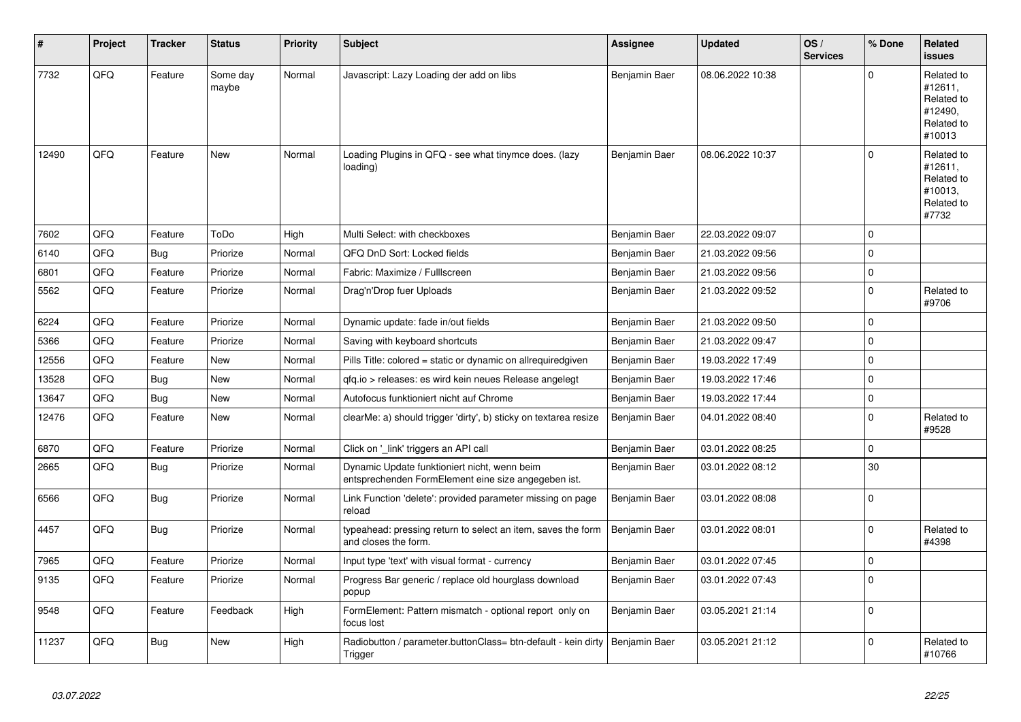| #     | Project | <b>Tracker</b> | <b>Status</b>     | <b>Priority</b> | <b>Subject</b>                                                                                      | <b>Assignee</b> | <b>Updated</b>   | OS/<br><b>Services</b> | % Done      | Related<br><b>issues</b>                                               |
|-------|---------|----------------|-------------------|-----------------|-----------------------------------------------------------------------------------------------------|-----------------|------------------|------------------------|-------------|------------------------------------------------------------------------|
| 7732  | QFQ     | Feature        | Some day<br>maybe | Normal          | Javascript: Lazy Loading der add on libs                                                            | Benjamin Baer   | 08.06.2022 10:38 |                        | $\Omega$    | Related to<br>#12611,<br>Related to<br>#12490,<br>Related to<br>#10013 |
| 12490 | QFQ     | Feature        | New               | Normal          | Loading Plugins in QFQ - see what tinymce does. (lazy<br>loading)                                   | Benjamin Baer   | 08.06.2022 10:37 |                        | $\Omega$    | Related to<br>#12611,<br>Related to<br>#10013,<br>Related to<br>#7732  |
| 7602  | QFQ     | Feature        | ToDo              | High            | Multi Select: with checkboxes                                                                       | Benjamin Baer   | 22.03.2022 09:07 |                        | $\Omega$    |                                                                        |
| 6140  | QFQ     | Bug            | Priorize          | Normal          | QFQ DnD Sort: Locked fields                                                                         | Benjamin Baer   | 21.03.2022 09:56 |                        | $\mathbf 0$ |                                                                        |
| 6801  | QFQ     | Feature        | Priorize          | Normal          | Fabric: Maximize / FullIscreen                                                                      | Benjamin Baer   | 21.03.2022 09:56 |                        | $\mathbf 0$ |                                                                        |
| 5562  | QFQ     | Feature        | Priorize          | Normal          | Drag'n'Drop fuer Uploads                                                                            | Benjamin Baer   | 21.03.2022 09:52 |                        | $\pmb{0}$   | Related to<br>#9706                                                    |
| 6224  | QFQ     | Feature        | Priorize          | Normal          | Dynamic update: fade in/out fields                                                                  | Benjamin Baer   | 21.03.2022 09:50 |                        | $\mathbf 0$ |                                                                        |
| 5366  | QFQ     | Feature        | Priorize          | Normal          | Saving with keyboard shortcuts                                                                      | Benjamin Baer   | 21.03.2022 09:47 |                        | $\pmb{0}$   |                                                                        |
| 12556 | QFQ     | Feature        | New               | Normal          | Pills Title: colored = static or dynamic on allrequiredgiven                                        | Benjamin Baer   | 19.03.2022 17:49 |                        | $\Omega$    |                                                                        |
| 13528 | QFQ     | Bug            | New               | Normal          | qfq.io > releases: es wird kein neues Release angelegt                                              | Benjamin Baer   | 19.03.2022 17:46 |                        | $\mathbf 0$ |                                                                        |
| 13647 | QFQ     | <b>Bug</b>     | <b>New</b>        | Normal          | Autofocus funktioniert nicht auf Chrome                                                             | Benjamin Baer   | 19.03.2022 17:44 |                        | $\mathbf 0$ |                                                                        |
| 12476 | QFQ     | Feature        | <b>New</b>        | Normal          | clearMe: a) should trigger 'dirty', b) sticky on textarea resize                                    | Benjamin Baer   | 04.01.2022 08:40 |                        | $\mathbf 0$ | Related to<br>#9528                                                    |
| 6870  | QFQ     | Feature        | Priorize          | Normal          | Click on '_link' triggers an API call                                                               | Benjamin Baer   | 03.01.2022 08:25 |                        | $\Omega$    |                                                                        |
| 2665  | QFQ     | <b>Bug</b>     | Priorize          | Normal          | Dynamic Update funktioniert nicht, wenn beim<br>entsprechenden FormElement eine size angegeben ist. | Benjamin Baer   | 03.01.2022 08:12 |                        | 30          |                                                                        |
| 6566  | QFQ     | <b>Bug</b>     | Priorize          | Normal          | Link Function 'delete': provided parameter missing on page<br>reload                                | Benjamin Baer   | 03.01.2022 08:08 |                        | $\Omega$    |                                                                        |
| 4457  | QFQ     | Bug            | Priorize          | Normal          | typeahead: pressing return to select an item, saves the form<br>and closes the form.                | Benjamin Baer   | 03.01.2022 08:01 |                        | $\Omega$    | Related to<br>#4398                                                    |
| 7965  | QFQ     | Feature        | Priorize          | Normal          | Input type 'text' with visual format - currency                                                     | Benjamin Baer   | 03.01.2022 07:45 |                        | $\mathbf 0$ |                                                                        |
| 9135  | QFQ     | Feature        | Priorize          | Normal          | Progress Bar generic / replace old hourglass download<br>popup                                      | Benjamin Baer   | 03.01.2022 07:43 |                        | $\Omega$    |                                                                        |
| 9548  | QFQ     | Feature        | Feedback          | High            | FormElement: Pattern mismatch - optional report only on<br>focus lost                               | Benjamin Baer   | 03.05.2021 21:14 |                        | $\mathbf 0$ |                                                                        |
| 11237 | QFQ     | <b>Bug</b>     | New               | High            | Radiobutton / parameter.buttonClass= btn-default - kein dirty<br>Trigger                            | Benjamin Baer   | 03.05.2021 21:12 |                        | $\Omega$    | Related to<br>#10766                                                   |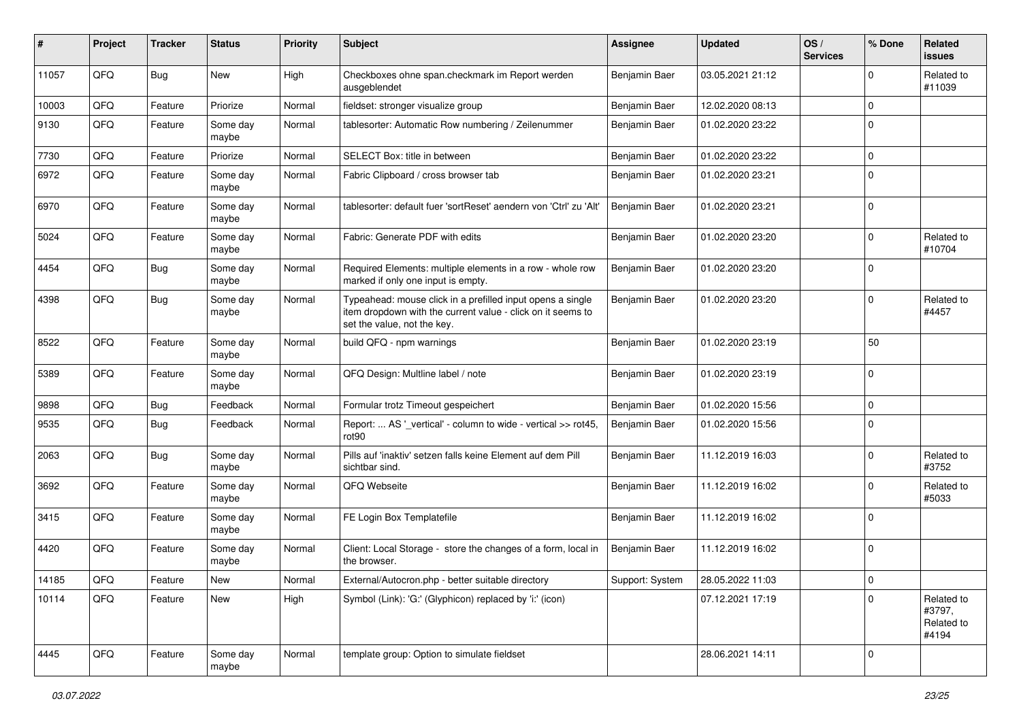| #     | Project | <b>Tracker</b> | <b>Status</b>     | <b>Priority</b> | Subject                                                                                                                                                  | <b>Assignee</b> | <b>Updated</b>   | OS/<br><b>Services</b> | % Done      | Related<br>issues                           |
|-------|---------|----------------|-------------------|-----------------|----------------------------------------------------------------------------------------------------------------------------------------------------------|-----------------|------------------|------------------------|-------------|---------------------------------------------|
| 11057 | QFQ     | <b>Bug</b>     | <b>New</b>        | High            | Checkboxes ohne span.checkmark im Report werden<br>ausgeblendet                                                                                          | Benjamin Baer   | 03.05.2021 21:12 |                        | 0           | Related to<br>#11039                        |
| 10003 | QFQ     | Feature        | Priorize          | Normal          | fieldset: stronger visualize group                                                                                                                       | Benjamin Baer   | 12.02.2020 08:13 |                        | $\mathbf 0$ |                                             |
| 9130  | QFQ     | Feature        | Some day<br>maybe | Normal          | tablesorter: Automatic Row numbering / Zeilenummer                                                                                                       | Benjamin Baer   | 01.02.2020 23:22 |                        | $\mathbf 0$ |                                             |
| 7730  | QFQ     | Feature        | Priorize          | Normal          | SELECT Box: title in between                                                                                                                             | Benjamin Baer   | 01.02.2020 23:22 |                        | $\mathbf 0$ |                                             |
| 6972  | QFQ     | Feature        | Some day<br>maybe | Normal          | Fabric Clipboard / cross browser tab                                                                                                                     | Benjamin Baer   | 01.02.2020 23:21 |                        | $\mathbf 0$ |                                             |
| 6970  | QFQ     | Feature        | Some day<br>maybe | Normal          | tablesorter: default fuer 'sortReset' aendern von 'Ctrl' zu 'Alt'                                                                                        | Benjamin Baer   | 01.02.2020 23:21 |                        | $\mathbf 0$ |                                             |
| 5024  | QFQ     | Feature        | Some day<br>maybe | Normal          | Fabric: Generate PDF with edits                                                                                                                          | Benjamin Baer   | 01.02.2020 23:20 |                        | $\mathbf 0$ | Related to<br>#10704                        |
| 4454  | QFQ     | Bug            | Some day<br>maybe | Normal          | Required Elements: multiple elements in a row - whole row<br>marked if only one input is empty.                                                          | Benjamin Baer   | 01.02.2020 23:20 |                        | $\mathbf 0$ |                                             |
| 4398  | QFQ     | <b>Bug</b>     | Some day<br>maybe | Normal          | Typeahead: mouse click in a prefilled input opens a single<br>item dropdown with the current value - click on it seems to<br>set the value, not the key. | Benjamin Baer   | 01.02.2020 23:20 |                        | $\mathbf 0$ | Related to<br>#4457                         |
| 8522  | QFQ     | Feature        | Some day<br>maybe | Normal          | build QFQ - npm warnings                                                                                                                                 | Benjamin Baer   | 01.02.2020 23:19 |                        | 50          |                                             |
| 5389  | QFQ     | Feature        | Some day<br>maybe | Normal          | QFQ Design: Multline label / note                                                                                                                        | Benjamin Baer   | 01.02.2020 23:19 |                        | $\mathbf 0$ |                                             |
| 9898  | QFQ     | Bug            | Feedback          | Normal          | Formular trotz Timeout gespeichert                                                                                                                       | Benjamin Baer   | 01.02.2020 15:56 |                        | 0           |                                             |
| 9535  | QFQ     | <b>Bug</b>     | Feedback          | Normal          | Report:  AS '_vertical' - column to wide - vertical >> rot45<br>rot90                                                                                    | Benjamin Baer   | 01.02.2020 15:56 |                        | $\mathbf 0$ |                                             |
| 2063  | QFQ     | <b>Bug</b>     | Some day<br>maybe | Normal          | Pills auf 'inaktiv' setzen falls keine Element auf dem Pill<br>sichtbar sind.                                                                            | Benjamin Baer   | 11.12.2019 16:03 |                        | $\mathbf 0$ | Related to<br>#3752                         |
| 3692  | QFQ     | Feature        | Some day<br>maybe | Normal          | QFQ Webseite                                                                                                                                             | Benjamin Baer   | 11.12.2019 16:02 |                        | $\mathbf 0$ | Related to<br>#5033                         |
| 3415  | QFQ     | Feature        | Some day<br>maybe | Normal          | FE Login Box Templatefile                                                                                                                                | Benjamin Baer   | 11.12.2019 16:02 |                        | $\Omega$    |                                             |
| 4420  | QFQ     | Feature        | Some day<br>maybe | Normal          | Client: Local Storage - store the changes of a form, local in<br>the browser.                                                                            | Benjamin Baer   | 11.12.2019 16:02 |                        | $\mathbf 0$ |                                             |
| 14185 | QFQ     | Feature        | New               | Normal          | External/Autocron.php - better suitable directory                                                                                                        | Support: System | 28.05.2022 11:03 |                        | 0           |                                             |
| 10114 | QFQ     | Feature        | New               | High            | Symbol (Link): 'G:' (Glyphicon) replaced by 'i:' (icon)                                                                                                  |                 | 07.12.2021 17:19 |                        | $\mathbf 0$ | Related to<br>#3797,<br>Related to<br>#4194 |
| 4445  | QFQ     | Feature        | Some day<br>maybe | Normal          | template group: Option to simulate fieldset                                                                                                              |                 | 28.06.2021 14:11 |                        | $\mathbf 0$ |                                             |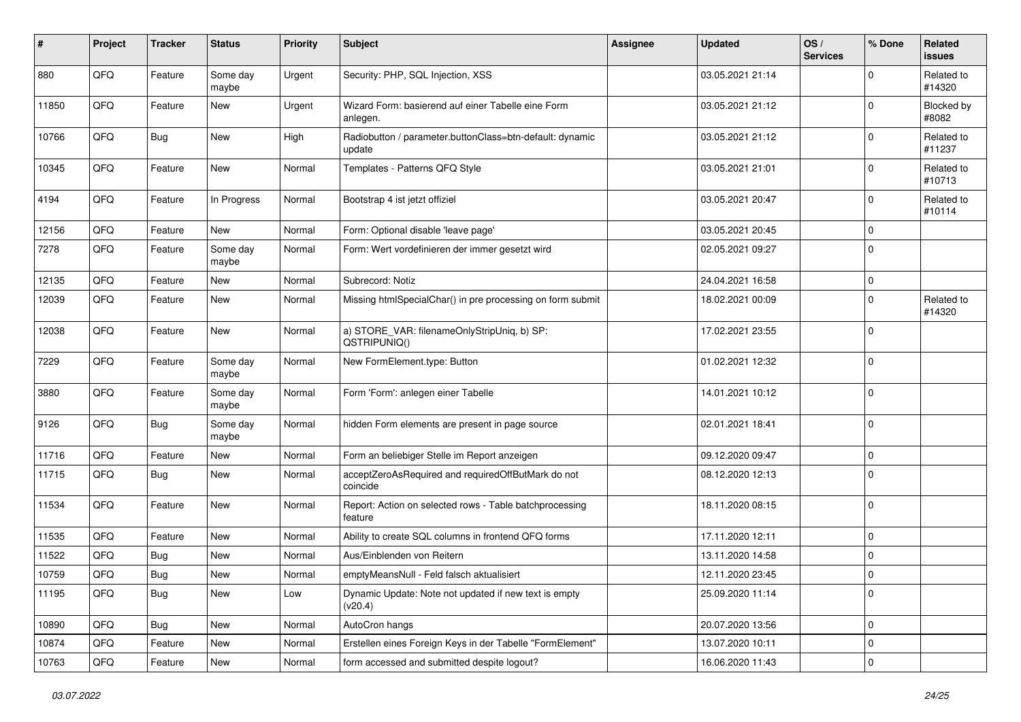| #     | Project | <b>Tracker</b> | <b>Status</b>     | <b>Priority</b> | <b>Subject</b>                                                     | <b>Assignee</b> | <b>Updated</b>   | OS/<br><b>Services</b> | % Done      | Related<br>issues    |
|-------|---------|----------------|-------------------|-----------------|--------------------------------------------------------------------|-----------------|------------------|------------------------|-------------|----------------------|
| 880   | QFQ     | Feature        | Some day<br>maybe | Urgent          | Security: PHP, SQL Injection, XSS                                  |                 | 03.05.2021 21:14 |                        | $\mathbf 0$ | Related to<br>#14320 |
| 11850 | QFQ     | Feature        | New               | Urgent          | Wizard Form: basierend auf einer Tabelle eine Form<br>anlegen.     |                 | 03.05.2021 21:12 |                        | $\Omega$    | Blocked by<br>#8082  |
| 10766 | QFQ     | Bug            | <b>New</b>        | High            | Radiobutton / parameter.buttonClass=btn-default: dynamic<br>update |                 | 03.05.2021 21:12 |                        | $\mathbf 0$ | Related to<br>#11237 |
| 10345 | QFQ     | Feature        | New               | Normal          | Templates - Patterns QFQ Style                                     |                 | 03.05.2021 21:01 |                        | 0           | Related to<br>#10713 |
| 4194  | QFQ     | Feature        | In Progress       | Normal          | Bootstrap 4 ist jetzt offiziel                                     |                 | 03.05.2021 20:47 |                        | $\mathbf 0$ | Related to<br>#10114 |
| 12156 | QFQ     | Feature        | New               | Normal          | Form: Optional disable 'leave page'                                |                 | 03.05.2021 20:45 |                        | 0           |                      |
| 7278  | QFQ     | Feature        | Some day<br>maybe | Normal          | Form: Wert vordefinieren der immer gesetzt wird                    |                 | 02.05.2021 09:27 |                        | $\mathbf 0$ |                      |
| 12135 | QFQ     | Feature        | New               | Normal          | Subrecord: Notiz                                                   |                 | 24.04.2021 16:58 |                        | $\pmb{0}$   |                      |
| 12039 | QFQ     | Feature        | New               | Normal          | Missing htmlSpecialChar() in pre processing on form submit         |                 | 18.02.2021 00:09 |                        | 0           | Related to<br>#14320 |
| 12038 | QFQ     | Feature        | New               | Normal          | a) STORE_VAR: filenameOnlyStripUniq, b) SP:<br>QSTRIPUNIQ()        |                 | 17.02.2021 23:55 |                        | $\mathbf 0$ |                      |
| 7229  | QFQ     | Feature        | Some day<br>maybe | Normal          | New FormElement.type: Button                                       |                 | 01.02.2021 12:32 |                        | 0           |                      |
| 3880  | QFQ     | Feature        | Some day<br>maybe | Normal          | Form 'Form': anlegen einer Tabelle                                 |                 | 14.01.2021 10:12 |                        | $\pmb{0}$   |                      |
| 9126  | QFQ     | Bug            | Some day<br>maybe | Normal          | hidden Form elements are present in page source                    |                 | 02.01.2021 18:41 |                        | $\mathbf 0$ |                      |
| 11716 | QFQ     | Feature        | New               | Normal          | Form an beliebiger Stelle im Report anzeigen                       |                 | 09.12.2020 09:47 |                        | $\mathbf 0$ |                      |
| 11715 | QFQ     | Bug            | <b>New</b>        | Normal          | acceptZeroAsRequired and requiredOffButMark do not<br>coincide     |                 | 08.12.2020 12:13 |                        | $\Omega$    |                      |
| 11534 | QFQ     | Feature        | <b>New</b>        | Normal          | Report: Action on selected rows - Table batchprocessing<br>feature |                 | 18.11.2020 08:15 |                        | $\mathbf 0$ |                      |
| 11535 | QFQ     | Feature        | <b>New</b>        | Normal          | Ability to create SQL columns in frontend QFQ forms                |                 | 17.11.2020 12:11 |                        | 0           |                      |
| 11522 | QFQ     | <b>Bug</b>     | New               | Normal          | Aus/Einblenden von Reitern                                         |                 | 13.11.2020 14:58 |                        | $\mathbf 0$ |                      |
| 10759 | QFQ     | Bug            | New               | Normal          | emptyMeansNull - Feld falsch aktualisiert                          |                 | 12.11.2020 23:45 |                        | $\pmb{0}$   |                      |
| 11195 | QFQ     | Bug            | New               | Low             | Dynamic Update: Note not updated if new text is empty<br>(v20.4)   |                 | 25.09.2020 11:14 |                        | $\mathbf 0$ |                      |
| 10890 | QFQ     | <b>Bug</b>     | New               | Normal          | AutoCron hangs                                                     |                 | 20.07.2020 13:56 |                        | 0           |                      |
| 10874 | QFQ     | Feature        | New               | Normal          | Erstellen eines Foreign Keys in der Tabelle "FormElement"          |                 | 13.07.2020 10:11 |                        | $\pmb{0}$   |                      |
| 10763 | QFQ     | Feature        | New               | Normal          | form accessed and submitted despite logout?                        |                 | 16.06.2020 11:43 |                        | $\pmb{0}$   |                      |